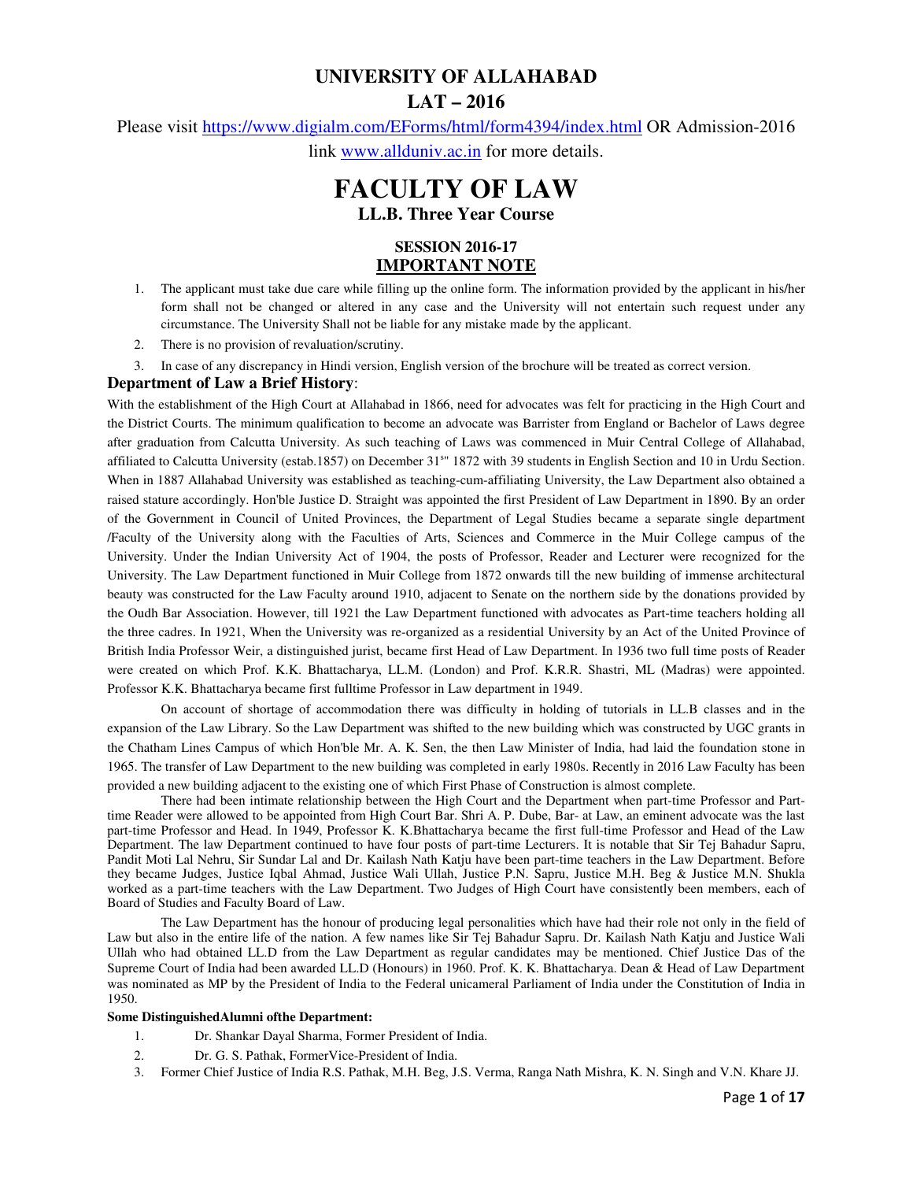# **UNIVERSITY OF ALLAHABAD LAT – 2016**

Please visit https://www.digialm.com/EForms/html/form4394/index.html OR Admission-2016 link www.allduniv.ac.in for more details.

# **FACULTY OF LAW LL.B. Three Year Course**

## **SESSION 2016-17 IMPORTANT NOTE**

- 1. The applicant must take due care while filling up the online form. The information provided by the applicant in his/her form shall not be changed or altered in any case and the University will not entertain such request under any circumstance. The University Shall not be liable for any mistake made by the applicant.
- 2. There is no provision of revaluation/scrutiny.

3. In case of any discrepancy in Hindi version, English version of the brochure will be treated as correct version.

#### **Department of Law a Brief History**:

With the establishment of the High Court at Allahabad in 1866, need for advocates was felt for practicing in the High Court and the District Courts. The minimum qualification to become an advocate was Barrister from England or Bachelor of Laws degree after graduation from Calcutta University. As such teaching of Laws was commenced in Muir Central College of Allahabad, affiliated to Calcutta University (estab.1857) on December 31<sup>s</sup>" 1872 with 39 students in English Section and 10 in Urdu Section. When in 1887 Allahabad University was established as teaching-cum-affiliating University, the Law Department also obtained a raised stature accordingly. Hon'ble Justice D. Straight was appointed the first President of Law Department in 1890. By an order of the Government in Council of United Provinces, the Department of Legal Studies became a separate single department /Faculty of the University along with the Faculties of Arts, Sciences and Commerce in the Muir College campus of the University. Under the Indian University Act of 1904, the posts of Professor, Reader and Lecturer were recognized for the University. The Law Department functioned in Muir College from 1872 onwards till the new building of immense architectural beauty was constructed for the Law Faculty around 1910, adjacent to Senate on the northern side by the donations provided by the Oudh Bar Association. However, till 1921 the Law Department functioned with advocates as Part-time teachers holding all the three cadres. In 1921, When the University was re-organized as a residential University by an Act of the United Province of British India Professor Weir, a distinguished jurist, became first Head of Law Department. In 1936 two full time posts of Reader were created on which Prof. K.K. Bhattacharya, LL.M. (London) and Prof. K.R.R. Shastri, ML (Madras) were appointed. Professor K.K. Bhattacharya became first fulltime Professor in Law department in 1949.

On account of shortage of accommodation there was difficulty in holding of tutorials in LL.B classes and in the expansion of the Law Library. So the Law Department was shifted to the new building which was constructed by UGC grants in the Chatham Lines Campus of which Hon'ble Mr. A. K. Sen, the then Law Minister of India, had laid the foundation stone in 1965. The transfer of Law Department to the new building was completed in early 1980s. Recently in 2016 Law Faculty has been provided a new building adjacent to the existing one of which First Phase of Construction is almost complete.

There had been intimate relationship between the High Court and the Department when part-time Professor and Parttime Reader were allowed to be appointed from High Court Bar. Shri A. P. Dube, Bar- at Law, an eminent advocate was the last part-time Professor and Head. In 1949, Professor K. K.Bhattacharya became the first full-time Professor and Head of the Law Department. The law Department continued to have four posts of part-time Lecturers. It is notable that Sir Tej Bahadur Sapru, Pandit Moti Lal Nehru, Sir Sundar Lal and Dr. Kailash Nath Katju have been part-time teachers in the Law Department. Before they became Judges, Justice Iqbal Ahmad, Justice Wali Ullah, Justice P.N. Sapru, Justice M.H. Beg & Justice M.N. Shukla worked as a part-time teachers with the Law Department. Two Judges of High Court have consistently been members, each of Board of Studies and Faculty Board of Law.

The Law Department has the honour of producing legal personalities which have had their role not only in the field of Law but also in the entire life of the nation. A few names like Sir Tej Bahadur Sapru. Dr. Kailash Nath Katju and Justice Wali Ullah who had obtained LL.D from the Law Department as regular candidates may be mentioned. Chief Justice Das of the Supreme Court of India had been awarded LL.D (Honours) in 1960. Prof. K. K. Bhattacharya. Dean & Head of Law Department was nominated as MP by the President of India to the Federal unicameral Parliament of India under the Constitution of India in 1950.

#### **Some DistinguishedAlumni ofthe Department:**

- 1. Dr. Shankar Dayal Sharma, Former President of India.
- 2. Dr. G. S. Pathak, FormerVice-President of India.
- 3. Former Chief Justice of India R.S. Pathak, M.H. Beg, J.S. Verma, Ranga Nath Mishra, K. N. Singh and V.N. Khare JJ.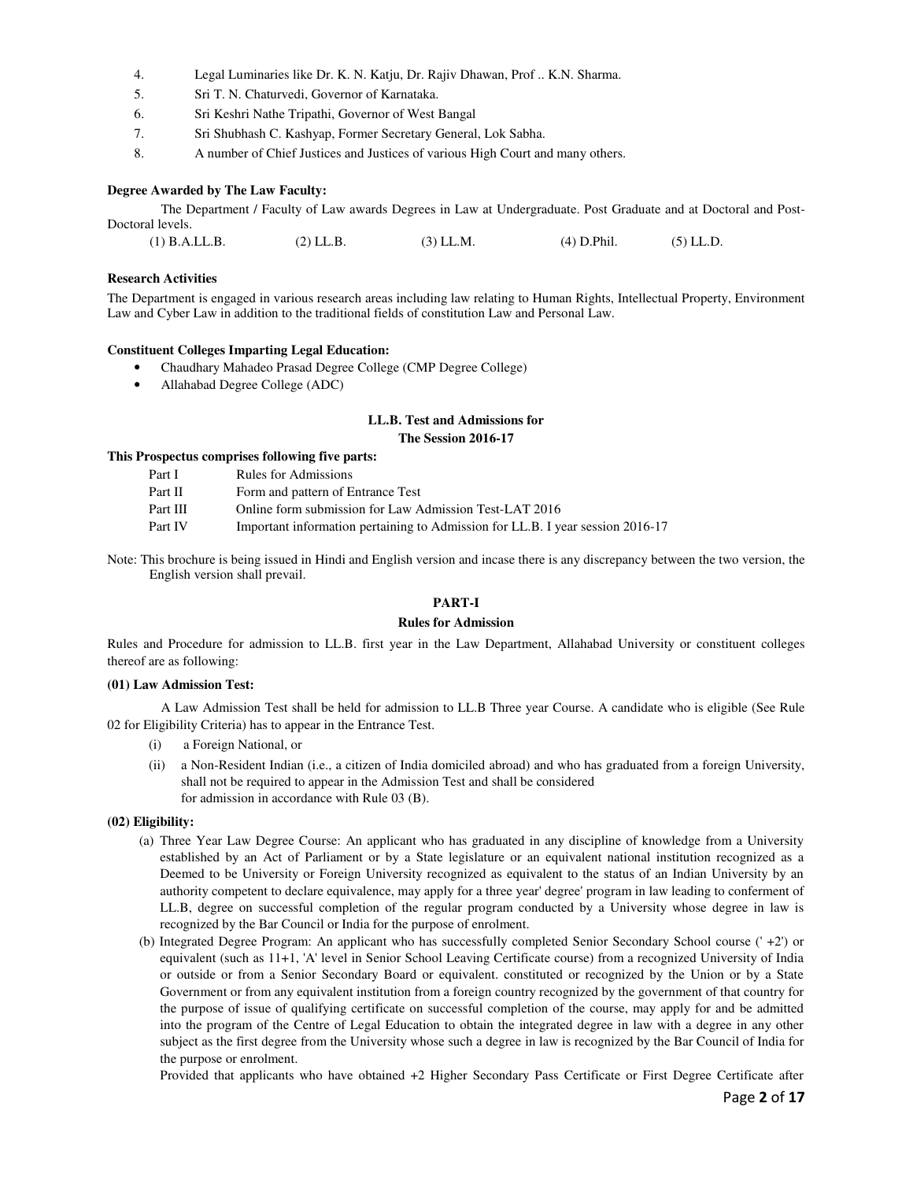- 4. Legal Luminaries like Dr. K. N. Katju, Dr. Rajiv Dhawan, Prof .. K.N. Sharma.
- 5. Sri T. N. Chaturvedi, Governor of Karnataka.
- 6. Sri Keshri Nathe Tripathi, Governor of West Bangal
- 7. Sri Shubhash C. Kashyap, Former Secretary General, Lok Sabha.
- 8. A number of Chief Justices and Justices of various High Court and many others.

#### **Degree Awarded by The Law Faculty:**

The Department / Faculty of Law awards Degrees in Law at Undergraduate. Post Graduate and at Doctoral and Post-Doctoral levels.

| $(4)$ D.Phil.<br>(2) LL.B.<br>$(3)$ LL.M.<br>$(1)$ B.A.LL.B. | $(5)$ LL.D. |
|--------------------------------------------------------------|-------------|
|--------------------------------------------------------------|-------------|

#### **Research Activities**

The Department is engaged in various research areas including law relating to Human Rights, Intellectual Property, Environment Law and Cyber Law in addition to the traditional fields of constitution Law and Personal Law.

#### **Constituent Colleges Imparting Legal Education:**

- Chaudhary Mahadeo Prasad Degree College (CMP Degree College)
- Allahabad Degree College (ADC)

#### **LL.B. Test and Admissions for The Session 2016-17**

#### **This Prospectus comprises following five parts:**

| Part I   | Rules for Admissions                                                           |
|----------|--------------------------------------------------------------------------------|
| Part II  | Form and pattern of Entrance Test                                              |
| Part III | Online form submission for Law Admission Test-LAT 2016                         |
| Part IV  | Important information pertaining to Admission for LL.B. I year session 2016-17 |
|          |                                                                                |

Note: This brochure is being issued in Hindi and English version and incase there is any discrepancy between the two version, the English version shall prevail.

#### **PART-I**

#### **Rules for Admission**

Rules and Procedure for admission to LL.B. first year in the Law Department, Allahabad University or constituent colleges thereof are as following:

#### **(01) Law Admission Test:**

A Law Admission Test shall be held for admission to LL.B Three year Course. A candidate who is eligible (See Rule 02 for Eligibility Criteria) has to appear in the Entrance Test.

- (i) a Foreign National, or
- (ii) a Non-Resident Indian (i.e., a citizen of India domiciled abroad) and who has graduated from a foreign University, shall not be required to appear in the Admission Test and shall be considered for admission in accordance with Rule 03 (B).

#### **(02) Eligibility:**

- (a) Three Year Law Degree Course: An applicant who has graduated in any discipline of knowledge from a University established by an Act of Parliament or by a State legislature or an equivalent national institution recognized as a Deemed to be University or Foreign University recognized as equivalent to the status of an Indian University by an authority competent to declare equivalence, may apply for a three year' degree' program in law leading to conferment of LL.B, degree on successful completion of the regular program conducted by a University whose degree in law is recognized by the Bar Council or India for the purpose of enrolment.
- (b) Integrated Degree Program: An applicant who has successfully completed Senior Secondary School course (' +2') or equivalent (such as 11+1, 'A' level in Senior School Leaving Certificate course) from a recognized University of India or outside or from a Senior Secondary Board or equivalent. constituted or recognized by the Union or by a State Government or from any equivalent institution from a foreign country recognized by the government of that country for the purpose of issue of qualifying certificate on successful completion of the course, may apply for and be admitted into the program of the Centre of Legal Education to obtain the integrated degree in law with a degree in any other subject as the first degree from the University whose such a degree in law is recognized by the Bar Council of India for the purpose or enrolment.

Provided that applicants who have obtained +2 Higher Secondary Pass Certificate or First Degree Certificate after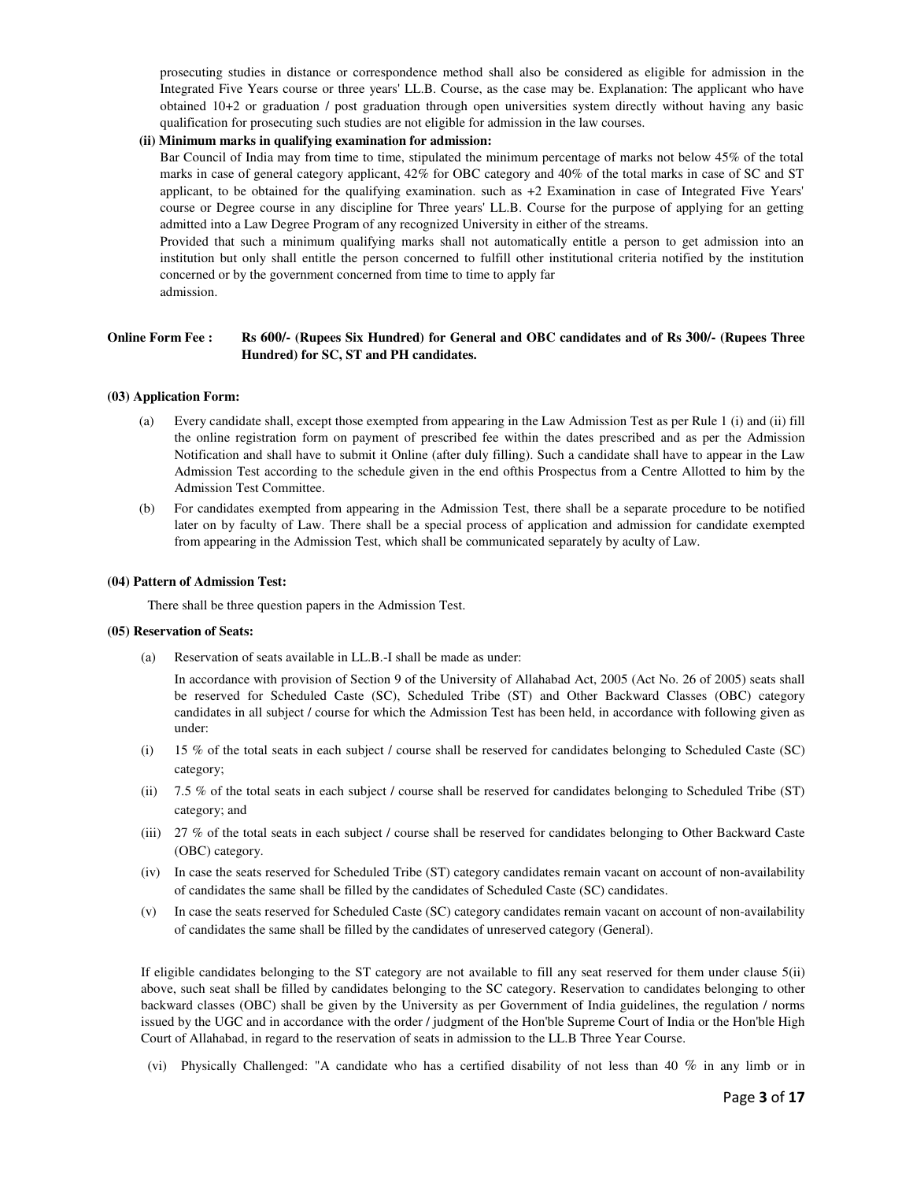prosecuting studies in distance or correspondence method shall also be considered as eligible for admission in the Integrated Five Years course or three years' LL.B. Course, as the case may be. Explanation: The applicant who have obtained 10+2 or graduation / post graduation through open universities system directly without having any basic qualification for prosecuting such studies are not eligible for admission in the law courses.

#### **(ii) Minimum marks in qualifying examination for admission:**

 Bar Council of India may from time to time, stipulated the minimum percentage of marks not below 45% of the total marks in case of general category applicant, 42% for OBC category and 40% of the total marks in case of SC and ST applicant, to be obtained for the qualifying examination. such as +2 Examination in case of Integrated Five Years' course or Degree course in any discipline for Three years' LL.B. Course for the purpose of applying for an getting admitted into a Law Degree Program of any recognized University in either of the streams.

 Provided that such a minimum qualifying marks shall not automatically entitle a person to get admission into an institution but only shall entitle the person concerned to fulfill other institutional criteria notified by the institution concerned or by the government concerned from time to time to apply far admission.

#### **Online Form Fee : Rs 600/- (Rupees Six Hundred) for General and OBC candidates and of Rs 300/- (Rupees Three Hundred) for SC, ST and PH candidates.**

#### **(03) Application Form:**

- Every candidate shall, except those exempted from appearing in the Law Admission Test as per Rule 1 (i) and (ii) fill the online registration form on payment of prescribed fee within the dates prescribed and as per the Admission Notification and shall have to submit it Online (after duly filling). Such a candidate shall have to appear in the Law Admission Test according to the schedule given in the end ofthis Prospectus from a Centre Allotted to him by the Admission Test Committee.
- (b) For candidates exempted from appearing in the Admission Test, there shall be a separate procedure to be notified later on by faculty of Law. There shall be a special process of application and admission for candidate exempted from appearing in the Admission Test, which shall be communicated separately by aculty of Law.

#### **(04) Pattern of Admission Test:**

There shall be three question papers in the Admission Test.

#### **(05) Reservation of Seats:**

(a) Reservation of seats available in LL.B.-I shall be made as under:

In accordance with provision of Section 9 of the University of Allahabad Act, 2005 (Act No. 26 of 2005) seats shall be reserved for Scheduled Caste (SC), Scheduled Tribe (ST) and Other Backward Classes (OBC) category candidates in all subject / course for which the Admission Test has been held, in accordance with following given as under:

- (i) 15 % of the total seats in each subject / course shall be reserved for candidates belonging to Scheduled Caste (SC) category;
- (ii) 7.5 % of the total seats in each subject / course shall be reserved for candidates belonging to Scheduled Tribe (ST) category; and
- (iii) 27 % of the total seats in each subject / course shall be reserved for candidates belonging to Other Backward Caste (OBC) category.
- (iv) In case the seats reserved for Scheduled Tribe (ST) category candidates remain vacant on account of non-availability of candidates the same shall be filled by the candidates of Scheduled Caste (SC) candidates.
- (v) In case the seats reserved for Scheduled Caste (SC) category candidates remain vacant on account of non-availability of candidates the same shall be filled by the candidates of unreserved category (General).

If eligible candidates belonging to the ST category are not available to fill any seat reserved for them under clause 5(ii) above, such seat shall be filled by candidates belonging to the SC category. Reservation to candidates belonging to other backward classes (OBC) shall be given by the University as per Government of India guidelines, the regulation / norms issued by the UGC and in accordance with the order / judgment of the Hon'ble Supreme Court of India or the Hon'ble High Court of Allahabad, in regard to the reservation of seats in admission to the LL.B Three Year Course.

(vi) Physically Challenged: "A candidate who has a certified disability of not less than 40 % in any limb or in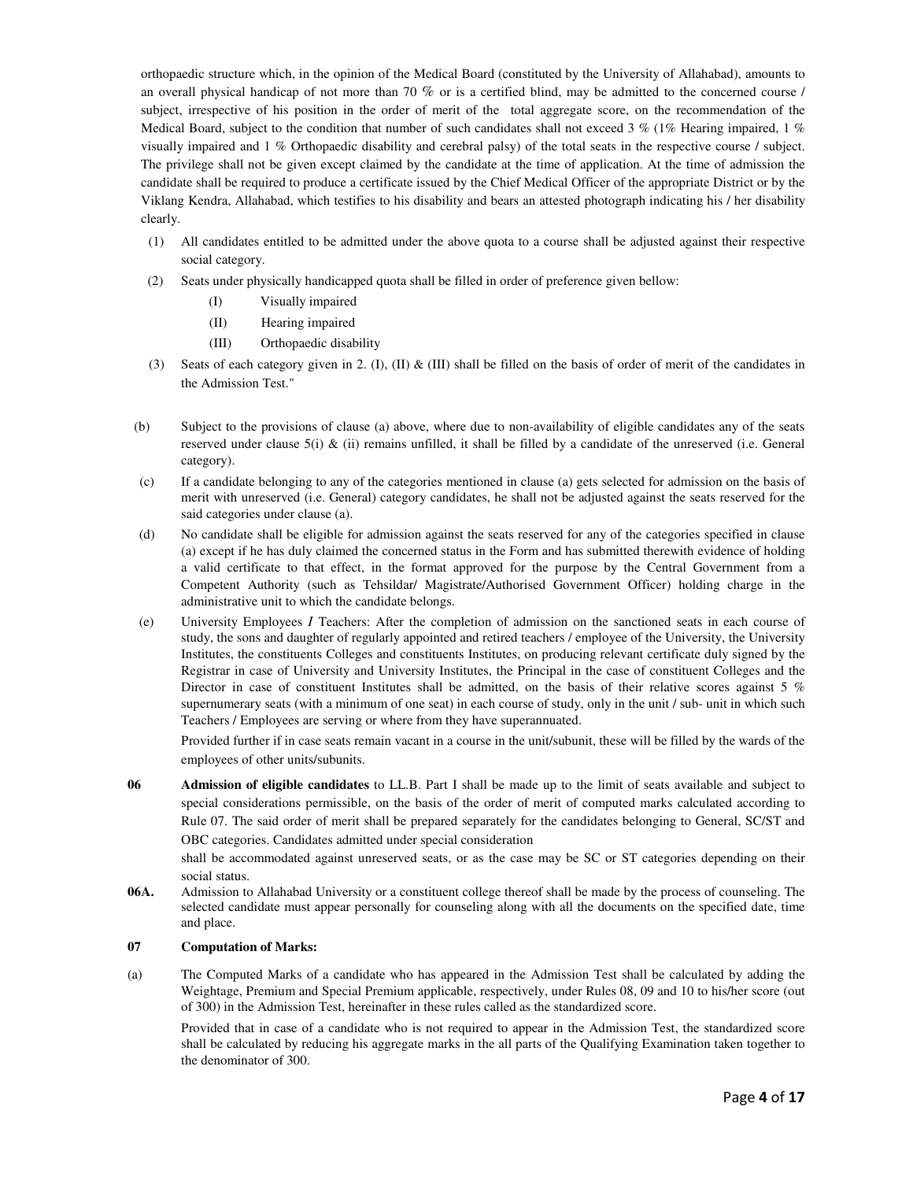orthopaedic structure which, in the opinion of the Medical Board (constituted by the University of Allahabad), amounts to an overall physical handicap of not more than 70 % or is a certified blind, may be admitted to the concerned course / subject, irrespective of his position in the order of merit of the total aggregate score, on the recommendation of the Medical Board, subject to the condition that number of such candidates shall not exceed 3 % (1% Hearing impaired, 1 %) visually impaired and 1 % Orthopaedic disability and cerebral palsy) of the total seats in the respective course / subject. The privilege shall not be given except claimed by the candidate at the time of application. At the time of admission the candidate shall be required to produce a certificate issued by the Chief Medical Officer of the appropriate District or by the Viklang Kendra, Allahabad, which testifies to his disability and bears an attested photograph indicating his / her disability clearly.

- (1) All candidates entitled to be admitted under the above quota to a course shall be adjusted against their respective social category.
- (2) Seats under physically handicapped quota shall be filled in order of preference given bellow:
	- (I) Visually impaired
	- (II) Hearing impaired
	- (III) Orthopaedic disability
- (3) Seats of each category given in 2. (I), (II) & (III) shall be filled on the basis of order of merit of the candidates in the Admission Test."
- (b) Subject to the provisions of clause (a) above, where due to non-availability of eligible candidates any of the seats reserved under clause 5(i) & (ii) remains unfilled, it shall be filled by a candidate of the unreserved (i.e. General category).
- (c) If a candidate belonging to any of the categories mentioned in clause (a) gets selected for admission on the basis of merit with unreserved (i.e. General) category candidates, he shall not be adjusted against the seats reserved for the said categories under clause (a).
- (d) No candidate shall be eligible for admission against the seats reserved for any of the categories specified in clause (a) except if he has duly claimed the concerned status in the Form and has submitted therewith evidence of holding a valid certificate to that effect, in the format approved for the purpose by the Central Government from a Competent Authority (such as Tehsildar/ Magistrate/Authorised Government Officer) holding charge in the administrative unit to which the candidate belongs.
- (e) University Employees *I* Teachers: After the completion of admission on the sanctioned seats in each course of study, the sons and daughter of regularly appointed and retired teachers / employee of the University, the University Institutes, the constituents Colleges and constituents Institutes, on producing relevant certificate duly signed by the Registrar in case of University and University Institutes, the Principal in the case of constituent Colleges and the Director in case of constituent Institutes shall be admitted, on the basis of their relative scores against 5 % supernumerary seats (with a minimum of one seat) in each course of study, only in the unit / sub- unit in which such Teachers / Employees are serving or where from they have superannuated.

Provided further if in case seats remain vacant in a course in the unit/subunit, these will be filled by the wards of the employees of other units/subunits.

**06 Admission of eligible candidates** to LL.B. Part I shall be made up to the limit of seats available and subject to special considerations permissible, on the basis of the order of merit of computed marks calculated according to Rule 07. The said order of merit shall be prepared separately for the candidates belonging to General, SC/ST and OBC categories. Candidates admitted under special consideration

shall be accommodated against unreserved seats, or as the case may be SC or ST categories depending on their social status.

**06A.** Admission to Allahabad University or a constituent college thereof shall be made by the process of counseling. The selected candidate must appear personally for counseling along with all the documents on the specified date, time and place.

#### **07 Computation of Marks:**

(a) The Computed Marks of a candidate who has appeared in the Admission Test shall be calculated by adding the Weightage, Premium and Special Premium applicable, respectively, under Rules 08, 09 and 10 to his/her score (out of 300) in the Admission Test, hereinafter in these rules called as the standardized score.

Provided that in case of a candidate who is not required to appear in the Admission Test, the standardized score shall be calculated by reducing his aggregate marks in the all parts of the Qualifying Examination taken together to the denominator of 300.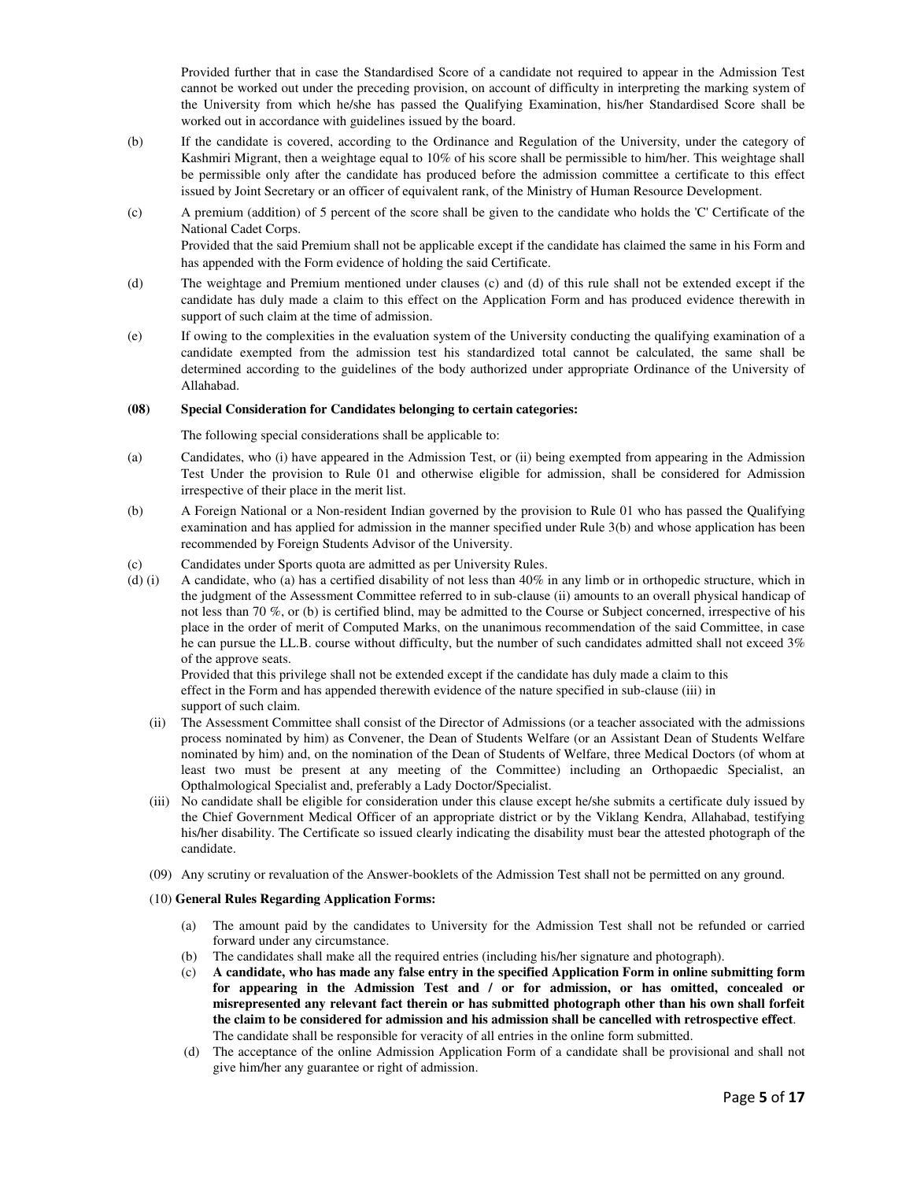Provided further that in case the Standardised Score of a candidate not required to appear in the Admission Test cannot be worked out under the preceding provision, on account of difficulty in interpreting the marking system of the University from which he/she has passed the Qualifying Examination, his/her Standardised Score shall be worked out in accordance with guidelines issued by the board.

- (b) If the candidate is covered, according to the Ordinance and Regulation of the University, under the category of Kashmiri Migrant, then a weightage equal to 10% of his score shall be permissible to him/her. This weightage shall be permissible only after the candidate has produced before the admission committee a certificate to this effect issued by Joint Secretary or an officer of equivalent rank, of the Ministry of Human Resource Development.
- (c) A premium (addition) of 5 percent of the score shall be given to the candidate who holds the 'C' Certificate of the National Cadet Corps. Provided that the said Premium shall not be applicable except if the candidate has claimed the same in his Form and

has appended with the Form evidence of holding the said Certificate. (d) The weightage and Premium mentioned under clauses (c) and (d) of this rule shall not be extended except if the candidate has duly made a claim to this effect on the Application Form and has produced evidence therewith in

(e) If owing to the complexities in the evaluation system of the University conducting the qualifying examination of a candidate exempted from the admission test his standardized total cannot be calculated, the same shall be determined according to the guidelines of the body authorized under appropriate Ordinance of the University of Allahabad.

#### **(08) Special Consideration for Candidates belonging to certain categories:**

The following special considerations shall be applicable to:

support of such claim at the time of admission.

- (a) Candidates, who (i) have appeared in the Admission Test, or (ii) being exempted from appearing in the Admission Test Under the provision to Rule 01 and otherwise eligible for admission, shall be considered for Admission irrespective of their place in the merit list.
- (b) A Foreign National or a Non-resident Indian governed by the provision to Rule 01 who has passed the Qualifying examination and has applied for admission in the manner specified under Rule 3(b) and whose application has been recommended by Foreign Students Advisor of the University.
- (c) Candidates under Sports quota are admitted as per University Rules.
- (d) (i) A candidate, who (a) has a certified disability of not less than 40% in any limb or in orthopedic structure, which in the judgment of the Assessment Committee referred to in sub-clause (ii) amounts to an overall physical handicap of not less than 70 %, or (b) is certified blind, may be admitted to the Course or Subject concerned, irrespective of his place in the order of merit of Computed Marks, on the unanimous recommendation of the said Committee, in case he can pursue the LL.B. course without difficulty, but the number of such candidates admitted shall not exceed 3% of the approve seats.

Provided that this privilege shall not be extended except if the candidate has duly made a claim to this effect in the Form and has appended therewith evidence of the nature specified in sub-clause (iii) in support of such claim.

- (ii) The Assessment Committee shall consist of the Director of Admissions (or a teacher associated with the admissions process nominated by him) as Convener, the Dean of Students Welfare (or an Assistant Dean of Students Welfare nominated by him) and, on the nomination of the Dean of Students of Welfare, three Medical Doctors (of whom at least two must be present at any meeting of the Committee) including an Orthopaedic Specialist, an Opthalmological Specialist and, preferably a Lady Doctor/Specialist.
- (iii) No candidate shall be eligible for consideration under this clause except he/she submits a certificate duly issued by the Chief Government Medical Officer of an appropriate district or by the Viklang Kendra, Allahabad, testifying his/her disability. The Certificate so issued clearly indicating the disability must bear the attested photograph of the candidate.
- (09) Any scrutiny or revaluation of the Answer-booklets of the Admission Test shall not be permitted on any ground.

#### (10) **General Rules Regarding Application Forms:**

- (a) The amount paid by the candidates to University for the Admission Test shall not be refunded or carried forward under any circumstance.
- (b) The candidates shall make all the required entries (including his/her signature and photograph).
- (c) **A candidate, who has made any false entry in the specified Application Form in online submitting form for appearing in the Admission Test and / or for admission, or has omitted, concealed or misrepresented any relevant fact therein or has submitted photograph other than his own shall forfeit the claim to be considered for admission and his admission shall be cancelled with retrospective effect**. The candidate shall be responsible for veracity of all entries in the online form submitted.
- (d) The acceptance of the online Admission Application Form of a candidate shall be provisional and shall not give him/her any guarantee or right of admission.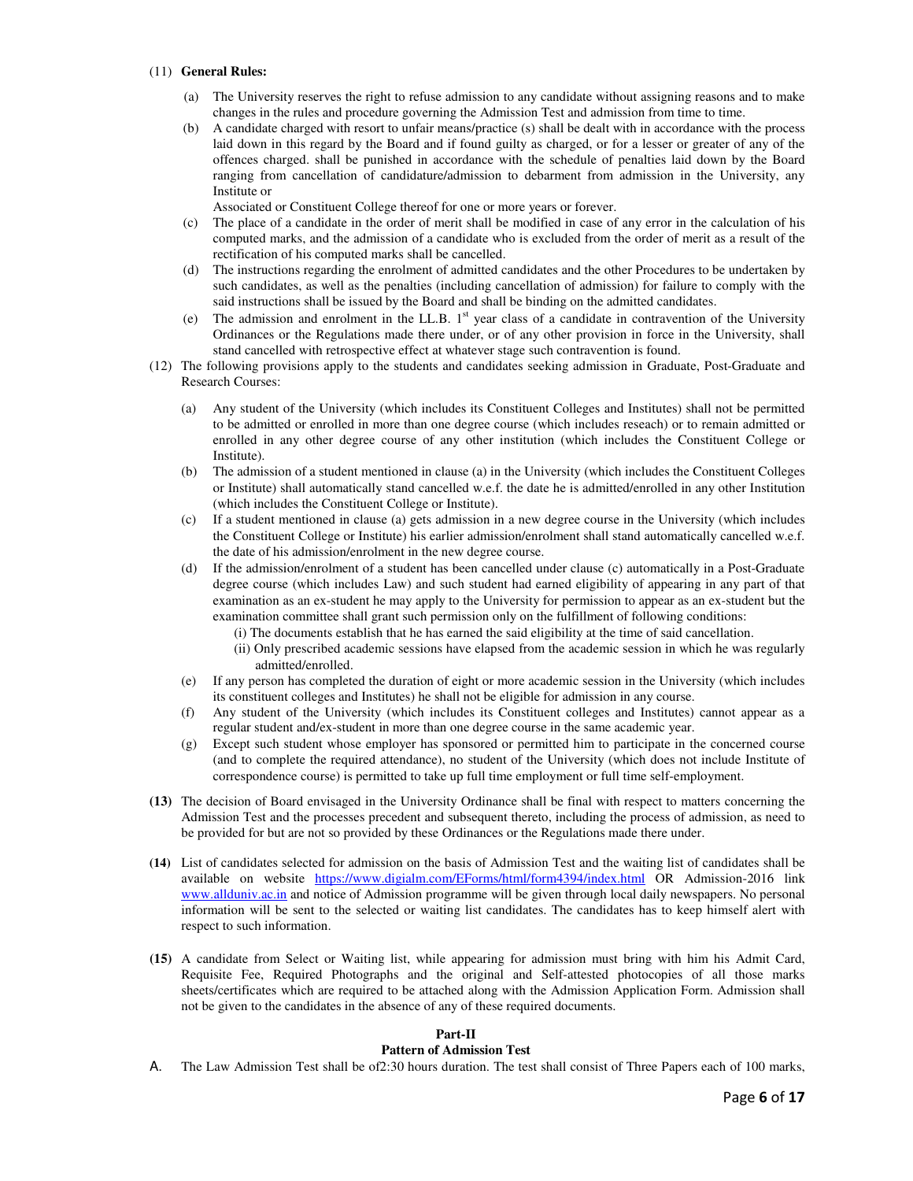#### (11) **General Rules:**

- (a) The University reserves the right to refuse admission to any candidate without assigning reasons and to make changes in the rules and procedure governing the Admission Test and admission from time to time.
- (b) A candidate charged with resort to unfair means/practice (s) shall be dealt with in accordance with the process laid down in this regard by the Board and if found guilty as charged, or for a lesser or greater of any of the offences charged. shall be punished in accordance with the schedule of penalties laid down by the Board ranging from cancellation of candidature/admission to debarment from admission in the University, any Institute or

Associated or Constituent College thereof for one or more years or forever.

- (c) The place of a candidate in the order of merit shall be modified in case of any error in the calculation of his computed marks, and the admission of a candidate who is excluded from the order of merit as a result of the rectification of his computed marks shall be cancelled.
- (d) The instructions regarding the enrolment of admitted candidates and the other Procedures to be undertaken by such candidates, as well as the penalties (including cancellation of admission) for failure to comply with the said instructions shall be issued by the Board and shall be binding on the admitted candidates.
- (e)The admission and enrolment in the LL.B. 1st year class of a candidate in contravention of the University Ordinances or the Regulations made there under, or of any other provision in force in the University, shall stand cancelled with retrospective effect at whatever stage such contravention is found.
- (12) The following provisions apply to the students and candidates seeking admission in Graduate, Post-Graduate and Research Courses:
	- (a) Any student of the University (which includes its Constituent Colleges and Institutes) shall not be permitted to be admitted or enrolled in more than one degree course (which includes reseach) or to remain admitted or enrolled in any other degree course of any other institution (which includes the Constituent College or Institute).
	- (b) The admission of a student mentioned in clause (a) in the University (which includes the Constituent Colleges or Institute) shall automatically stand cancelled w.e.f. the date he is admitted/enrolled in any other Institution (which includes the Constituent College or Institute).
	- (c) If a student mentioned in clause (a) gets admission in a new degree course in the University (which includes the Constituent College or Institute) his earlier admission/enrolment shall stand automatically cancelled w.e.f. the date of his admission/enrolment in the new degree course.
	- (d) If the admission/enrolment of a student has been cancelled under clause (c) automatically in a Post-Graduate degree course (which includes Law) and such student had earned eligibility of appearing in any part of that examination as an ex-student he may apply to the University for permission to appear as an ex-student but the examination committee shall grant such permission only on the fulfillment of following conditions:
		- (i) The documents establish that he has earned the said eligibility at the time of said cancellation.
			- (ii) Only prescribed academic sessions have elapsed from the academic session in which he was regularly admitted/enrolled.
	- (e) If any person has completed the duration of eight or more academic session in the University (which includes its constituent colleges and Institutes) he shall not be eligible for admission in any course.
	- (f) Any student of the University (which includes its Constituent colleges and Institutes) cannot appear as a regular student and/ex-student in more than one degree course in the same academic year.
	- (g) Except such student whose employer has sponsored or permitted him to participate in the concerned course (and to complete the required attendance), no student of the University (which does not include Institute of correspondence course) is permitted to take up full time employment or full time self-employment.
- **(13)** The decision of Board envisaged in the University Ordinance shall be final with respect to matters concerning the Admission Test and the processes precedent and subsequent thereto, including the process of admission, as need to be provided for but are not so provided by these Ordinances or the Regulations made there under.
- **(14)** List of candidates selected for admission on the basis of Admission Test and the waiting list of candidates shall be available on website https://www.digialm.com/EForms/html/form4394/index.html OR Admission-2016 link www.allduniv.ac.in and notice of Admission programme will be given through local daily newspapers. No personal information will be sent to the selected or waiting list candidates. The candidates has to keep himself alert with respect to such information.
- **(15)** A candidate from Select or Waiting list, while appearing for admission must bring with him his Admit Card, Requisite Fee, Required Photographs and the original and Self-attested photocopies of all those marks sheets/certificates which are required to be attached along with the Admission Application Form. Admission shall not be given to the candidates in the absence of any of these required documents.

#### **Part-II**

#### **Pattern of Admission Test**

A. The Law Admission Test shall be of2:30 hours duration. The test shall consist of Three Papers each of 100 marks,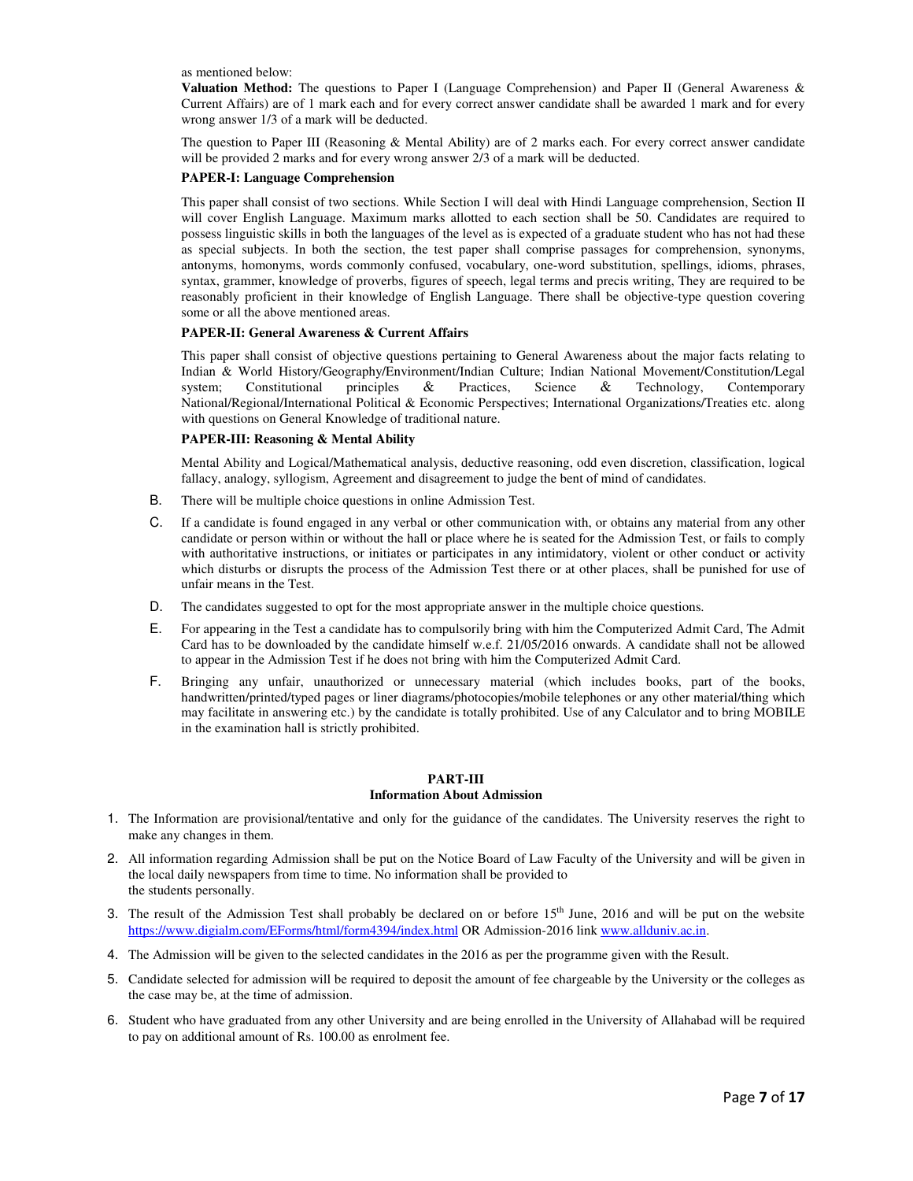as mentioned below:

**Valuation Method:** The questions to Paper I (Language Comprehension) and Paper II (General Awareness & Current Affairs) are of 1 mark each and for every correct answer candidate shall be awarded 1 mark and for every wrong answer 1/3 of a mark will be deducted.

The question to Paper III (Reasoning & Mental Ability) are of 2 marks each. For every correct answer candidate will be provided 2 marks and for every wrong answer 2/3 of a mark will be deducted.

#### **PAPER-I: Language Comprehension**

This paper shall consist of two sections. While Section I will deal with Hindi Language comprehension, Section II will cover English Language. Maximum marks allotted to each section shall be 50. Candidates are required to possess linguistic skills in both the languages of the level as is expected of a graduate student who has not had these as special subjects. In both the section, the test paper shall comprise passages for comprehension, synonyms, antonyms, homonyms, words commonly confused, vocabulary, one-word substitution, spellings, idioms, phrases, syntax, grammer, knowledge of proverbs, figures of speech, legal terms and precis writing, They are required to be reasonably proficient in their knowledge of English Language. There shall be objective-type question covering some or all the above mentioned areas.

#### **PAPER-II: General Awareness & Current Affairs**

This paper shall consist of objective questions pertaining to General Awareness about the major facts relating to Indian & World History/Geography/Environment/Indian Culture; Indian National Movement/Constitution/Legal system; Constitutional principles & Practices, Science & Technology, Contemporary system; Constitutional principles & Practices, Science & Technology, Contemporary National/Regional/International Political & Economic Perspectives; International Organizations/Treaties etc. along with questions on General Knowledge of traditional nature.

#### **PAPER-III: Reasoning & Mental Ability**

Mental Ability and Logical/Mathematical analysis, deductive reasoning, odd even discretion, classification, logical fallacy, analogy, syllogism, Agreement and disagreement to judge the bent of mind of candidates.

- B. There will be multiple choice questions in online Admission Test.
- C. If a candidate is found engaged in any verbal or other communication with, or obtains any material from any other candidate or person within or without the hall or place where he is seated for the Admission Test, or fails to comply with authoritative instructions, or initiates or participates in any intimidatory, violent or other conduct or activity which disturbs or disrupts the process of the Admission Test there or at other places, shall be punished for use of unfair means in the Test.
- D. The candidates suggested to opt for the most appropriate answer in the multiple choice questions.
- E. For appearing in the Test a candidate has to compulsorily bring with him the Computerized Admit Card, The Admit Card has to be downloaded by the candidate himself w.e.f. 21/05/2016 onwards. A candidate shall not be allowed to appear in the Admission Test if he does not bring with him the Computerized Admit Card.
- F. Bringing any unfair, unauthorized or unnecessary material (which includes books, part of the books, handwritten/printed/typed pages or liner diagrams/photocopies/mobile telephones or any other material/thing which may facilitate in answering etc.) by the candidate is totally prohibited. Use of any Calculator and to bring MOBILE in the examination hall is strictly prohibited.

#### **PART-III Information About Admission**

- 1. The Information are provisional/tentative and only for the guidance of the candidates. The University reserves the right to make any changes in them.
- 2. All information regarding Admission shall be put on the Notice Board of Law Faculty of the University and will be given in the local daily newspapers from time to time. No information shall be provided to the students personally.
- 3. The result of the Admission Test shall probably be declared on or before  $15<sup>th</sup>$  June, 2016 and will be put on the website https://www.digialm.com/EForms/html/form4394/index.html OR Admission-2016 link www.allduniv.ac.in.
- 4. The Admission will be given to the selected candidates in the 2016 as per the programme given with the Result.
- 5. Candidate selected for admission will be required to deposit the amount of fee chargeable by the University or the colleges as the case may be, at the time of admission.
- 6. Student who have graduated from any other University and are being enrolled in the University of Allahabad will be required to pay on additional amount of Rs. 100.00 as enrolment fee.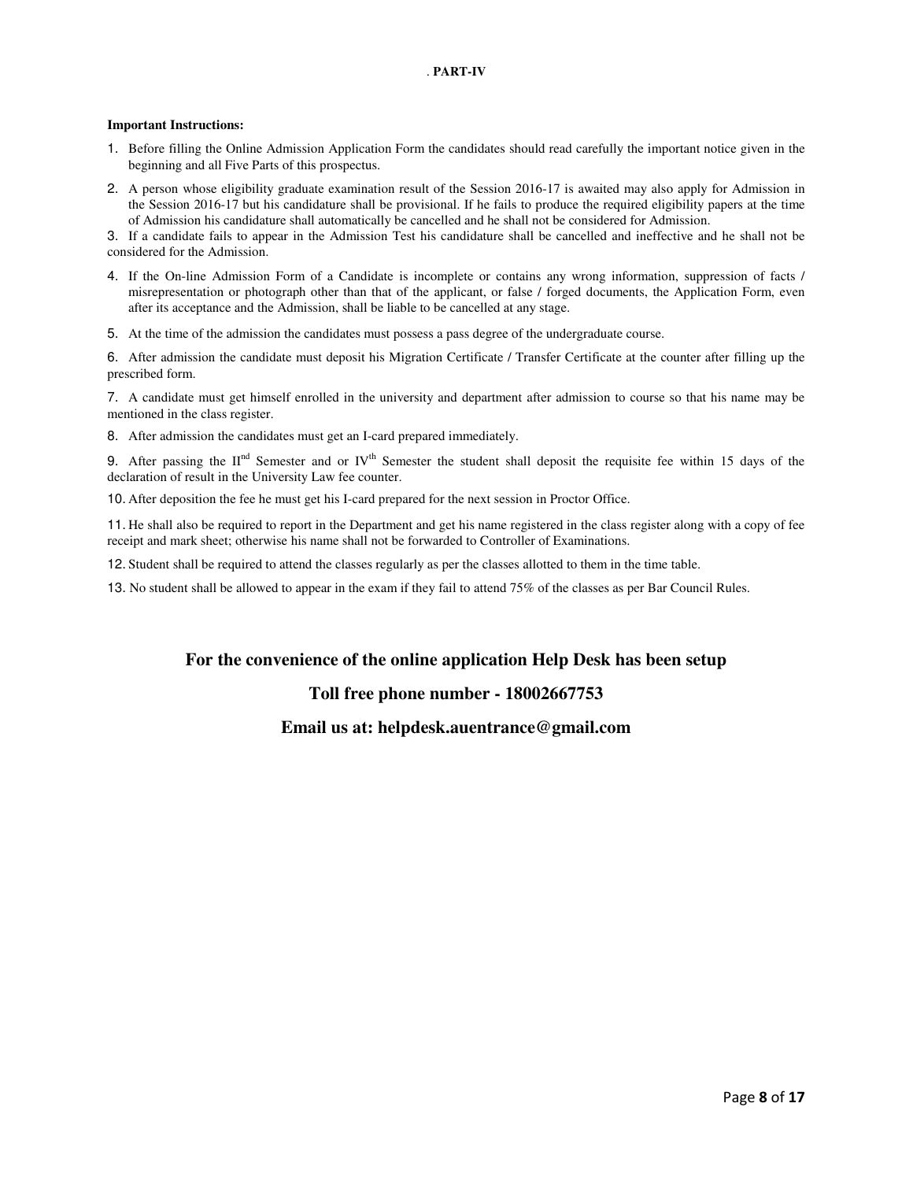#### . **PART-IV**

#### **Important Instructions:**

- 1. Before filling the Online Admission Application Form the candidates should read carefully the important notice given in the beginning and all Five Parts of this prospectus.
- 2. A person whose eligibility graduate examination result of the Session 2016-17 is awaited may also apply for Admission in the Session 2016-17 but his candidature shall be provisional. If he fails to produce the required eligibility papers at the time of Admission his candidature shall automatically be cancelled and he shall not be considered for Admission.

3. If a candidate fails to appear in the Admission Test his candidature shall be cancelled and ineffective and he shall not be considered for the Admission.

- 4. If the On-line Admission Form of a Candidate is incomplete or contains any wrong information, suppression of facts / misrepresentation or photograph other than that of the applicant, or false / forged documents, the Application Form, even after its acceptance and the Admission, shall be liable to be cancelled at any stage.
- 5. At the time of the admission the candidates must possess a pass degree of the undergraduate course.

6. After admission the candidate must deposit his Migration Certificate / Transfer Certificate at the counter after filling up the prescribed form.

7. A candidate must get himself enrolled in the university and department after admission to course so that his name may be mentioned in the class register.

8. After admission the candidates must get an I-card prepared immediately.

9. After passing the  $II<sup>nd</sup>$  Semester and or IV<sup>th</sup> Semester the student shall deposit the requisite fee within 15 days of the declaration of result in the University Law fee counter.

10. After deposition the fee he must get his I-card prepared for the next session in Proctor Office.

11. He shall also be required to report in the Department and get his name registered in the class register along with a copy of fee receipt and mark sheet; otherwise his name shall not be forwarded to Controller of Examinations.

12. Student shall be required to attend the classes regularly as per the classes allotted to them in the time table.

13. No student shall be allowed to appear in the exam if they fail to attend 75% of the classes as per Bar Council Rules.

### **For the convenience of the online application Help Desk has been setup**

### **Toll free phone number - 18002667753**

### **Email us at: helpdesk.auentrance@gmail.com**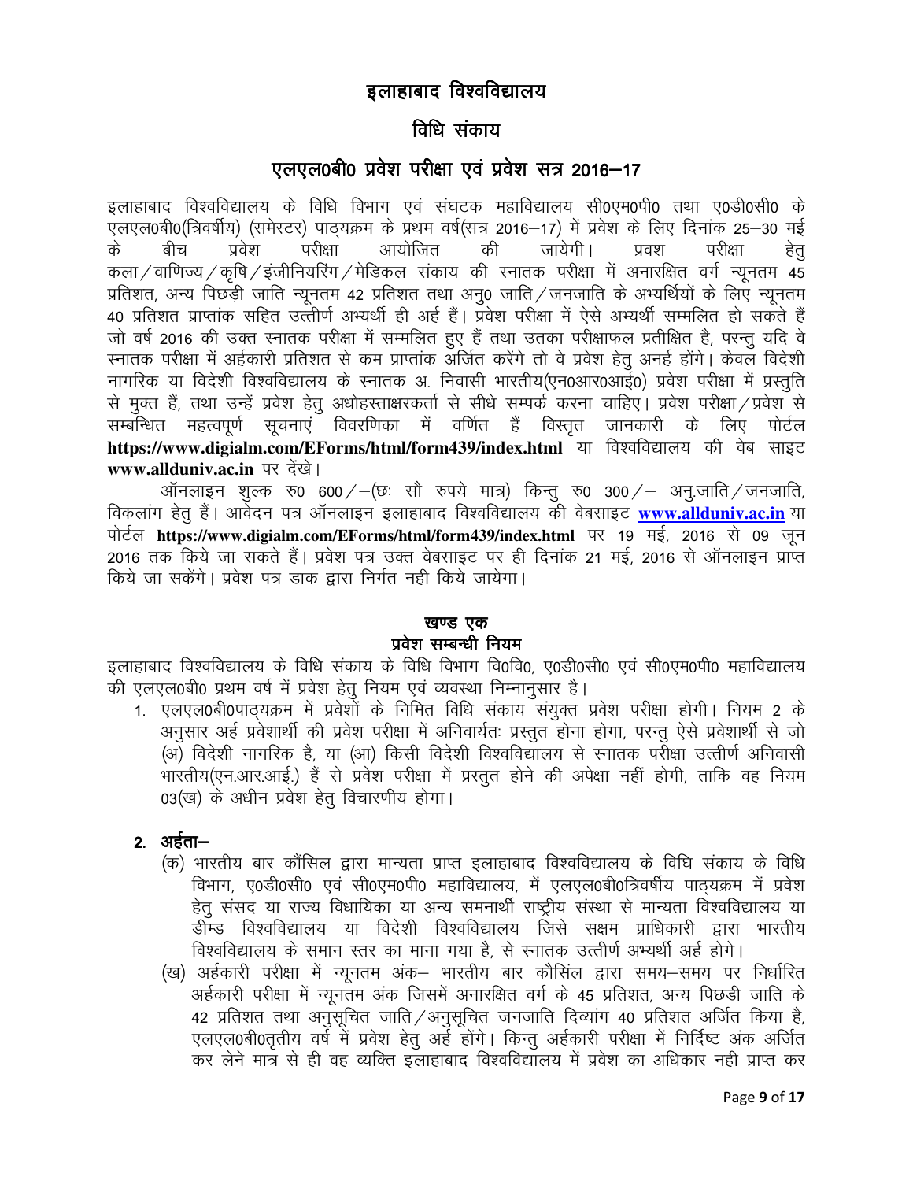# इलाहाबाद विश्वविद्यालय

# विधि संकाय

# $\nabla$ लएल0बी0 प्रवेश परीक्षा एवं प्रवेश सत्र 2016-17

इलाहाबाद विश्वविद्यालय के विधि विभाग एवं संघटक महाविद्यालय सी0एम0पी0 तथा ए0डी0सी0 के एलएल0बी0(त्रिवर्षीय) (समेस्टर) पाठ्यक्रम के प्रथम वर्ष(सत्र 2016–17) में प्रवेश के लिए दिनांक 25–30 मई के बीच प्रवेश परीक्षा आयोजित की जायेगी। प्रवश परीक्षा हेतु कला ⁄ वाणिज्य ⁄ कषि ⁄ इंजीनियरिंग ⁄ मेडिकल संकाय की स्नातक परीक्षा में अनारक्षित वर्ग न्यनतम 45 प्रतिशत, अन्य पिछड़ी जाति न्यूनतम 42 प्रतिशत तथा अनू0 जाति / जनजाति के अभ्यर्थियों के लिए न्यूनतम 40 प्रतिशत प्राप्तांक सहित उत्तीर्ण अभ्यर्थी ही अर्ह हैं। प्रवेश परीक्षा में ऐसे अभ्यर्थी सम्मलित हो सकते हैं जो वर्ष 2016 की उक्त स्नातक परीक्षा में सम्मलित हुए हैं तथा उतका परीक्षाफल प्रतीक्षित है, परन्तु यदि वे रनातक परीक्षा में अर्हकारी प्रतिशत से कम प्राप्तांक अर्जित करेंगे तो वे प्रवेश हेतू अनई होंगे। केवल विदेशी नागरिक या विदेशी विश्वविद्यालय के स्नातक अ. निवासी भारतीय(एन0आर0आई0) प्रवेश परीक्षा में प्रस्तुति से मुक्त हैं, तथा उन्हें प्रवेश हेतु अधोहस्ताक्षरकर्ता से सीधे सम्पर्क करना चाहिए। प्रवेश परीक्षा / प्रवेश से सम्बन्धित महत्वपूर्ण सूचनाएं विवरणिका में वर्णित हैं विस्तृत जानकारी के लिए पोर्टल https://www.digialm.com/EForms/html/form439/index.html या विश्वविद्यालय की वेब साइट www.allduniv.ac.in पर देंखे।

ऑनलाइन शुल्क रु0 600/ $-$ (छः सौ रुपये मात्र) किन्तु रु0 300/ $-$  अनु.जाति/जनजाति, विकलांग हेतु हैं। आवेदन पत्र ऑनलाइन इलाहाबाद विश्वविद्यालय की वेबसाइट www.allduniv.ac.in या पोर्टल https://www.digialm.com/EForms/html/form439/index.html पर 19 मई, 2016 से 09 जून 2016 तक किये जा सकते हैं। प्रवेश पत्र उक्त वेबसाइट पर ही दिनांक 21 मई, 2016 से ऑनलाइन प्राप्त किये जा सकेंगे। प्रवेश पत्र डाक द्वारा निर्गत नही किये जायेगा।

### खण्ड एक

### प्रवेश सम्बन्धी नियम

इलाहाबाद विश्वविद्यालय के विधि संकाय के विधि विभाग वि0वि0. ए0डी0सी0 एवं सी0एम0पी0 महाविद्यालय की एलएल0बी0 प्रथम वर्ष में प्रवेश हेतु नियम एवं व्यवस्था निम्नानुसार है।

1. एलएल0बी0पाठयक्रम में प्रवेशों के निमित विधि संकाय संयुक्त प्रवेश परीक्षा होगी। नियम 2 के अनुसार अर्ह प्रवेशार्थी की प्रवेश परीक्षा में अनिवार्यतः प्रस्तुत होना होगा, परन्तु ऐसे प्रवेशार्थी से जो (अ) विदेशी नागरिक है, या (आ) किसी विदेशी विश्वविद्यालय से स्नातक परीक्षा उत्तीर्ण अनिवासी भारतीय(एन.आर.आई.) हैं से प्रवेश परीक्षा में प्रस्तुत होने की अपेक्षा नहीं होगी, ताकि वह नियम 03(ख) के अधीन प्रवेश हेत विचारणीय होगा।

# $2.$  अर्हता $-$

- (क) भारतीय बार कौंसिल द्वारा मान्यता प्राप्त इलाहाबाद विश्वविद्यालय के विघि संकाय के विधि विभाग, ए0डी0सी0 एवं सी0एम0पी0 महाविद्यालय, में एलएल0बी0त्रिवर्षीय पाठ्यक्रम में प्रवेश हेतू संसद या राज्य विधायिका या अन्य समनार्थी राष्ट्रीय संस्था से मान्यता विश्वविद्यालय या डीम्ड विश्वविद्यालय या विदेशी विश्वविद्यालय जिसे सक्षम प्राधिकारी द्वारा भारतीय विश्वविद्यालय के समान स्तर का माना गया है, से स्नातक उत्तीर्ण अभ्यर्थी अर्ह होगे।
- (ख) अर्हकारी परीक्षा में न्यूनतम अंक– भारतीय बार कौसिल द्वारा समय–समय पर निर्धारित अर्हकारी परीक्षा में न्यूनतम अंक जिसमें अनारक्षित वर्ग के 45 प्रतिशत, अन्य पिछडी जाति के 42 प्रतिशत तथा अनुसूचित जाति / अनुसूचित जनजाति दिव्यांग 40 प्रतिशत अर्जित किया है, एलएल0बी0तृतीय वर्षे में प्रवेश हेतु अर्ह होंगे। किन्तु अर्हकारी परीक्षा में निर्दिष्ट अंक अर्जित कर लेने मात्र से ही वह व्यक्ति इलाहाबाद विश्वविद्यालय में प्रवेश का अधिकार नही प्राप्त कर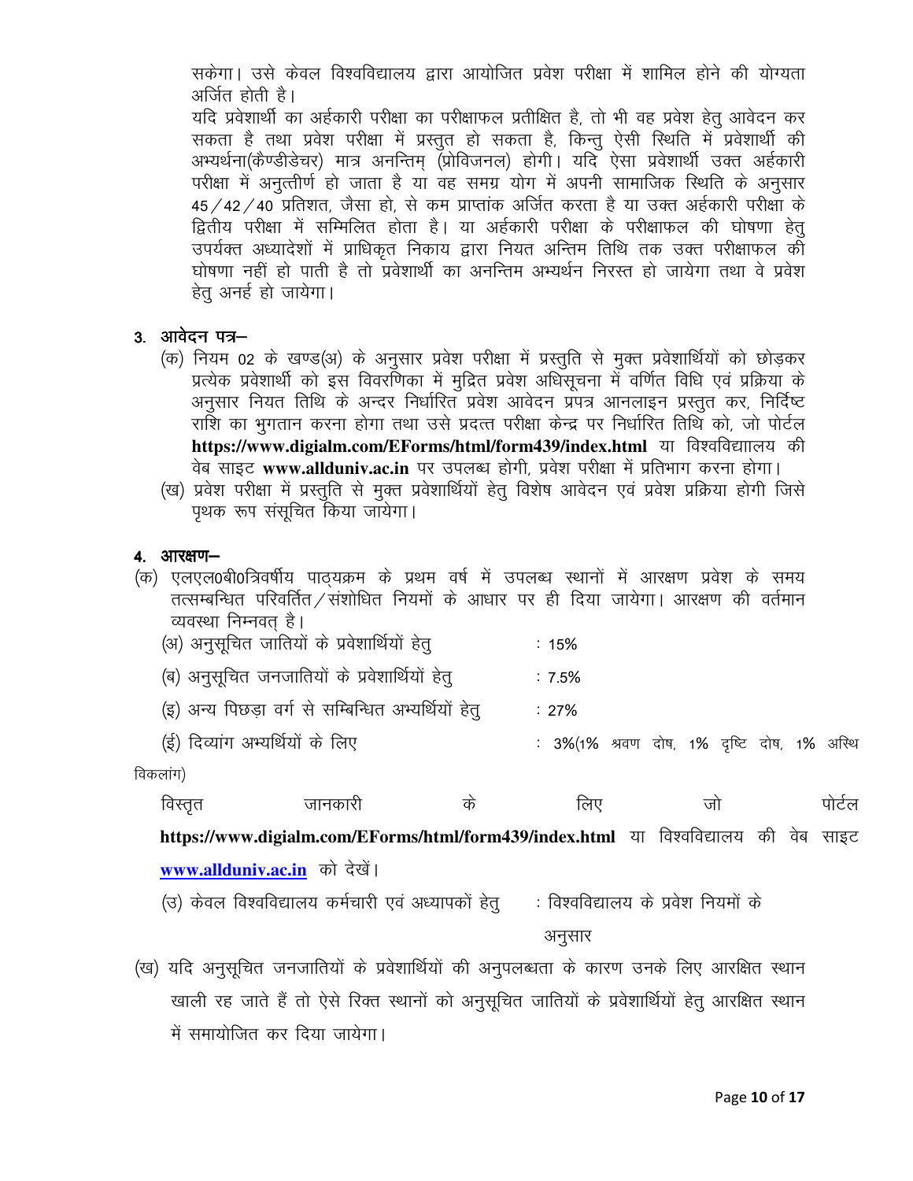सकेगा। उसे केवल विश्वविद्यालय द्वारा आयोजित प्रवेश परीक्षा में शामिल होने की योग्यता अर्जित होती है।

यदि प्रवेशार्थी का अर्हकारी परीक्षा का परीक्षाफल प्रतीक्षित है, तो भी वह प्रवेश हेतु आवेदन कर सकता है तथा प्रवेश परीक्षा में प्रस्तुत हो सकता है, किन्तु ऐसी स्थिति में प्रवेशार्थी की अभ्यर्थना(कैण्डीडेचर) मात्र अनन्तिम् (प्रोविजनल) होगी। यदि ऐसा प्रवेशार्थी उक्त अर्हकारी परीक्षा में अनुत्तीर्ण हो जाता है या वह समग्र योग में अपनी सामाजिक स्थिति के अनुसार 45 / 42 / 40 प्रतिशत, जैसा हो, से कम प्राप्तांक अर्जित करता है या उक्त अर्हकारी परीक्षा के द्वितीय परीक्षा में सम्मिलित होता है। या अर्हकारी परीक्षा के परीक्षाफल की घोषणा हेत् .<br>उपर्यक्त अध्यादेशों में प्राधिकृत निकाय द्वारा नियत अन्तिम तिथि तक उक्त परीक्षाफल की घोषणा नहीं हो पाती है तो प्रवेशार्थी का अनन्तिम अभ्यर्थन निरस्त हो जायेगा तथा वे प्रवेश हेत अनर्ह हो जायेगा।

- 3. आवेदन पत्र-
	- (क) नियम 02 के खण्ड(अ) के अनुसार प्रवेश परीक्षा में प्रस्तुति से मुक्त प्रवेशार्थियों को छोड़कर प्रत्येक प्रवेशार्थी को इस विवरणिका में मुद्रित प्रवेश अधिसूचना में वर्णित विधि एवं प्रक्रिया के अनुसार नियत तिथि के अन्दर निर्धारित प्रवेश आवेदन प्रपत्र आनलाइन प्रस्तुत कर, निर्दिष्ट राशि का भुगतान करना होगा तथा उसे प्रदत्त परीक्षा केन्द्र पर निर्धारित तिथि को, जो पोर्टल https://www.digialm.com/EForms/html/form439/index.html या विश्वविद्याालय की वेब साइट www.allduniv.ac.in पर उपलब्ध होगी, प्रवेश परीक्षा में प्रतिभाग करना होगा।
	- (ख) प्रवेश परीक्षा में प्रस्तुति से मुक्त प्रवेशार्थियों हेतु विशेष आवेदन एवं प्रवेश प्रक्रिया होगी जिसे पृथक रूप संसूचित किया जायेगा।

### 4. आरक्षण-

(क) एलएल0बी0त्रिवर्षीय पाठ्यक्रम के प्रथम वर्ष में उपलब्ध स्थानों में आरक्षण प्रवेश के समय तत्सम्बन्धित परिवर्तित / संशोधित नियमों के आधार पर ही दिया जायेगा। आरक्षण की वर्तमान व्यवस्था निम्नवत् है।

|  |  |  |  | (अ) अनुसूचित जातियों के प्रवेशार्थियों हेतु |  |  | : $15%$ |
|--|--|--|--|---------------------------------------------|--|--|---------|
|--|--|--|--|---------------------------------------------|--|--|---------|

| (ब) अनुसूचित जनजातियों के प्रवेशार्थियों हेतु | : $7.5%$ |  |
|-----------------------------------------------|----------|--|
|-----------------------------------------------|----------|--|

- (इ) अन्य पिछड़ा वर्ग से सम्बिन्धित अभ्यर्थियों हेतु : 27%
- (ई) दिव्यांग अभ्यर्थियों के लिए : 3%(1% श्रवण दोष, 1% दृष्टि दोष, 1% अस्थि

विकलांग)

| $\overline{\phantom{0}}$ |         |      |      |   |      |
|--------------------------|---------|------|------|---|------|
| विस्तत                   | जानकारा | - In | .ਕਾਾ | л | पाटल |
|                          |         |      |      |   |      |

https://www.digialm.com/EForms/html/form439/index.html या विश्वविद्यालय की वेब साइट www.allduniv.ac.in को देखें।

(उ) केवल विश्वविद्यालय कर्मचारी एवं अध्यापकों हेतु : विश्वविद्यालय के प्रवेश नियमों के

अनुसार

(ख) यदि अनुसूचित जनजातियों के प्रवेशार्थियों की अनुपलब्धता के कारण उनके लिए आरक्षित स्थान खाली रह जाते हैं तो ऐसे रिक्त स्थानों को अनुसुचित जातियों के प्रवेशार्थियों हेतू आरक्षित स्थान में समायोजित कर दिया जायेगा।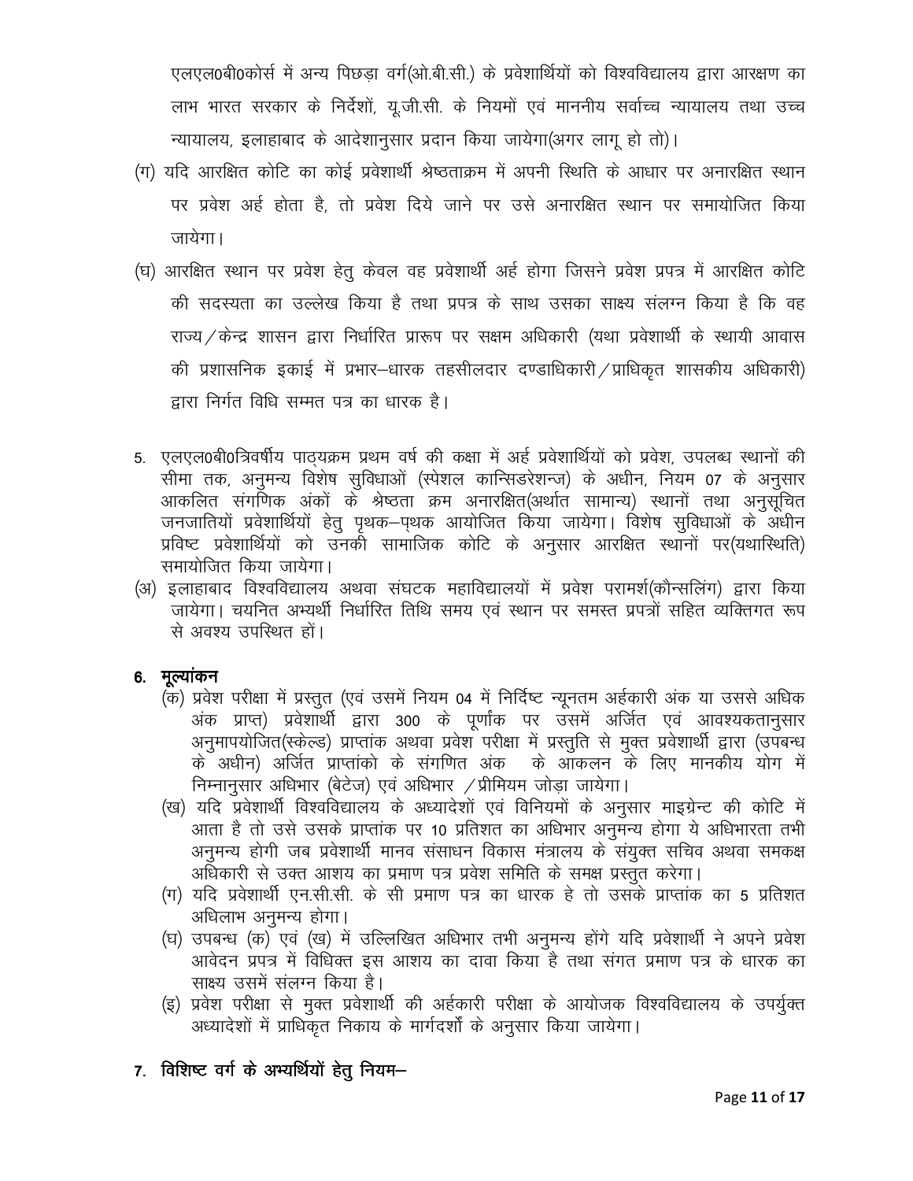एलएल0बी0कोर्स में अन्य पिछड़ा वर्ग(ओ.बी.सी.) के प्रवेशार्थियों को विश्वविद्यालय द्वारा आरक्षण का लाभ भारत सरकार के निर्देशों, यू.जी.सी. के नियमों एवं माननीय सर्वाच्च न्यायालय तथा उच्च न्यायालय, इलाहाबाद के आदेशानसार प्रदान किया जायेगा(अगर लागू हो तो)।

- (ग) यदि आरक्षित कोटि का कोई प्रवेशार्थी श्रेष्ठताक्रम में अपनी स्थिति के आधार पर अनारक्षित स्थान पर प्रवेश अर्ह होता है, तो प्रवेश दिये जाने पर उसे अनारक्षित स्थान पर समायोजित किया जायेगा।
- (घ) आरक्षित स्थान पर प्रवेश हेतू केवल वह प्रवेशार्थी अर्ह होगा जिसने प्रवेश प्रपत्र में आरक्षित कोटि की सदस्यता का उल्लेख किया है तथा प्रपत्र के साथ उसका साक्ष्य संलग्न किया है कि वह राज्य / केन्द्र शासन द्वारा निर्धारित प्रारूप पर सक्षम अधिकारी (यथा प्रवेशार्थी के स्थायी आवास की प्रशासनिक इकाई में प्रभार–धारक तहसीलदार दण्डाधिकारी / प्राधिकृत शासकीय अधिकारी) द्वारा निर्गत विधि सम्मत पत्र का धारक है।
- 5. एलएल0बी0त्रिवर्षीय पाठ्यक्रम प्रथम वर्ष की कक्षा में अर्ह प्रवेशार्थियों को प्रवेश, उपलब्ध स्थानों की सीमा तक, अनुमन्य विशेष सुविधाओं (स्पेशल कान्सिडरेशन्ज) के अधीन, नियम 07 के अनुसार आकलित संगणिक अंकों के श्रेष्ठता क्रम अनारक्षित(अर्थात सामान्य) स्थानों तथा अनुसूचित जनजातियों प्रवेशार्थियों हेतु पृथक–पृथक आयोजित किया जायेगा। विशेष सुविधाओं के अधीन प्रविष्ट प्रवेशार्थियों को उनकी सामाजिक कोटि के अनुसार आरक्षित स्थानों पर(यथारिथति) समायोजित किया जायेगा।
- (अ) इलाहाबाद विश्वविद्यालय अथवा संघटक महाविद्यालयों में प्रवेश परामर्श(कौन्सलिंग) द्वारा किया जायेगा। चयनित अभ्यर्थी निर्धारित तिथि समय एवं स्थान पर समस्त प्रपत्रों सहित व्यक्तिगत रूप से अवश्य उपस्थित हों।

# 6. मूल्यांकन

- (क) प्रवेश परीक्षा में प्रस्तुत (एवं उसमें नियम 04 में निर्दिष्ट न्यूनतम अर्हकारी अंक या उससे अधिक अंक प्राप्त) प्रवेशार्थी द्वारा 300 के पूर्णांक पर उसमें अर्जित एवं आवश्यकतानुसार अनुमापयोजित(स्केल्ड) प्राप्तांक अथवा प्रवेश परीक्षा में प्रस्तुति से मुक्त प्रवेशार्थी द्वारा (उपबन्ध के अधीन) अर्जित प्राप्तांको के संगणित अंक के आँकलन के लिए मानकीय योग में निम्नानुसार अधिभार (बेटेज) एवं अधिभार / प्रीमियम जोड़ा जायेगा।
- (ख) यदि प्रवेशार्थी विश्वविद्यालय के अध्यादेशों एवं विनियमों के अनुसार माइग्रेन्ट की कोटि में आता है तो उसे उसके प्राप्तांक पर 10 प्रतिशत का अधिभार अनुमन्य होगा ये अधिभारता तभी अनुमन्य होगी जब प्रवेशार्थी मानव संसाधन विकास मंत्रालय के संयुक्त सचिव अथवा समकक्ष अधिकारी से उक्त आशय का प्रमाण पत्र प्रवेश समिति के समक्ष प्रस्तुत करेगा।
- (ग) यदि प्रवेशार्थी एन.सी.सी. के सी प्रमाण पत्र का धारक हे तो उसके प्राप्तांक का 5 प्रतिशत अधिलाभ अनुमन्य होगा।
- (घ) उपबन्ध (क) एवं (ख) में उल्लिखित अधिभार तभी अनुमन्य होंगे यदि प्रवेशार्थी ने अपने प्रवेश आवेदन प्रपत्र में विधिक्त इस आशय का दावा किया है तथा संगत प्रमाण पत्र के धारक का साक्ष्य उसमें संलग्न किया है।
- (इ) प्रवेश परीक्षा से मुक्त प्रवेशार्थी की अर्हकारी परीक्षा के आयोजक विश्वविद्यालय के उपर्युक्त अध्यादेशों में प्राधिकृत निकाय के मार्गदर्शों के अनुसार किया जायेगा।
- 7. विशिष्ट वर्ग के अभ्यर्थियों हेतु नियम-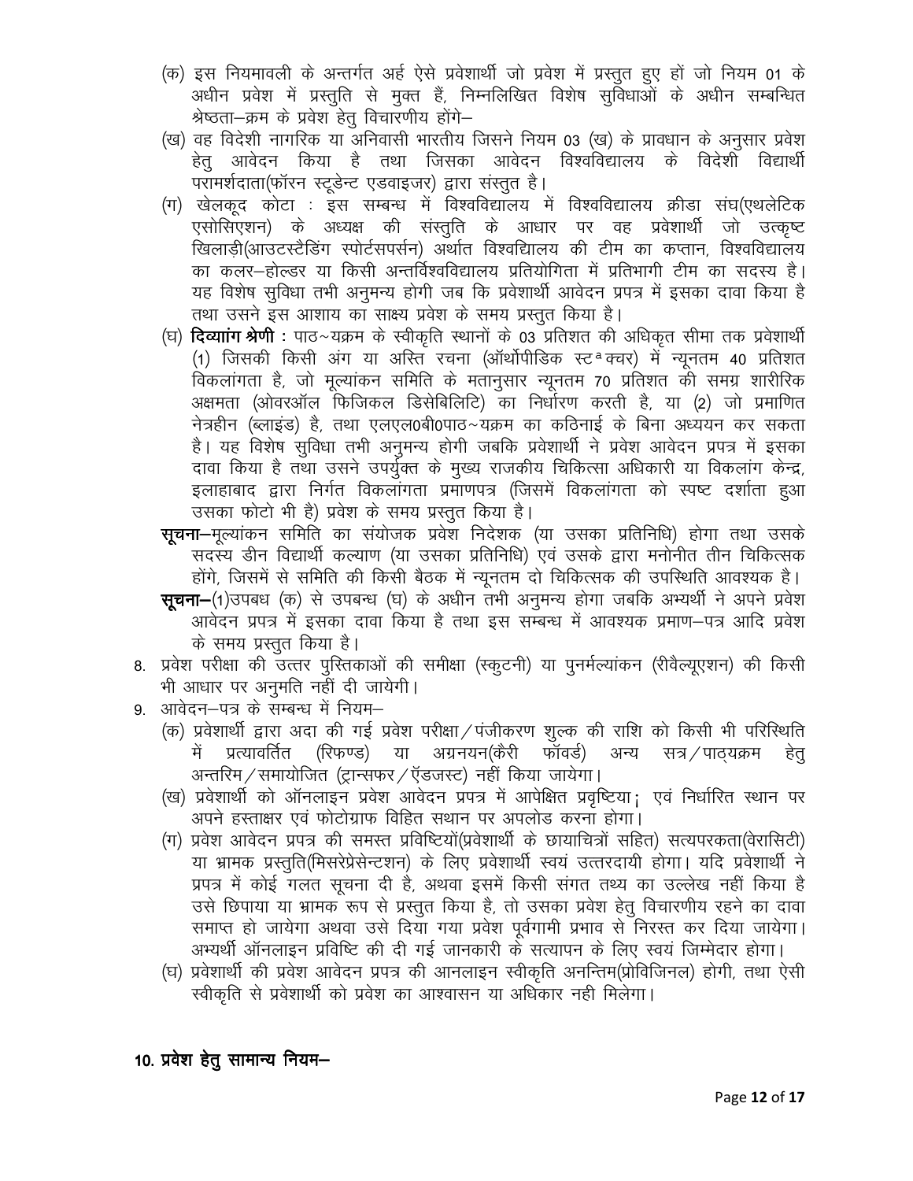- (क) इस नियमावली के अन्तर्गत अर्ह ऐसे प्रवेशार्थी जो प्रवेश में प्रस्तुत हुए हों जो नियम 01 के अधीन प्रवेश में प्रस्तुति से मुक्त हैं, निम्नलिखित विशेष सुविधाओं के अधीन सम्बन्धित श्रेष्ठता–क्रम के प्रवेश हेतु विचारणीय होंगे–
- (ख) वह विदेशी नागरिक या अनिवासी भारतीय जिसने नियम 03 (ख) के प्रावधान के अनुसार प्रवेश हेतु आवेदन किया है तथा जिसका आवेदन विश्वविद्यालय के विदेशी विद्यार्थी परामर्शदाता(फॉरन स्टूडेन्ट एडवाइजर) द्वारा संस्तूत है।
- (ग) खेलकूद कोटा : इस सम्बन्ध में विश्वविद्यालय में विश्वविद्यालय क्रीडा संघ(एथलेटिक एसोसिएशन) के अध्यक्ष की संस्तुति के आधार पर वह प्रवेशार्थी जो उत्कृष्ट खिलाडी(आउटस्टैडिंग स्पोर्टसपर्सन) अर्थात विश्वद्यािलय की टीम का कप्तान, विश्वविद्यालय का कलर—होल्डर या किसी अन्तर्विश्वविद्यालय प्रतियोगिता में प्रतिभागी टीम का सदस्य है। यह विशेष सुविधा तभी अनुमन्य होगी जब कि प्रवेशार्थी आवेदन प्रपत्र में इसका दावा किया है तथा उसने इस आशाय का साक्ष्य प्रवेश के समय प्रस्तुत किया है।
- (घ) **दिव्याांग श्रेणी** : पाठ~यक्रम के स्वीकृति स्थानों के 03 प्रतिशत की अधिकृत सीमा तक प्रवेशार्थी (1) जिसकी किसी अंग या अस्ति रचना (ऑर्थोपीडिक स्ट<sup>a</sup>क्चर) में न्यूनतम 40 प्रतिशत विकलांगता है, जो मुल्यांकन समिति के मतानुसार न्युनतम 70 प्रतिशत की समग्र शारीरिक अक्षमता (ओवरऑल फिजिकल डिसेबिलिटि) का निर्धारण करती है, या (2) जो प्रमाणित नेत्रहीन (ब्लाइंड) है, तथा एलएल0बी0पाठ~यक्रम का कठिनाई के बिना अध्ययन कर सकता है। यह विशेष सुविधा तभी अनुमन्य होगी जबकि प्रवेशार्थी ने प्रवेश आवेदन प्रपत्र में इसका दावा किया है तथा उसने उपर्युक्त के मुख्य राजकीय चिकित्सा अधिकारी या विकलांग केन्द्र, इलाहाबाद द्वारा निर्गत विकलांगता प्रमाणपत्र (जिसमें विकलांगता को स्पष्ट दर्शाता हुआ उसका फोटो भी है) प्रवेश के समय प्रस्तुत किया है।
- **सुचना–**मुल्यांकन समिति का संयोजक प्रवेश निदेशक (या उसका प्रतिनिधि) होगा तथा उसके सदस्य डीन विद्यार्थी कल्याण (या उसका प्रतिनिधि) एवं उसके द्वारा मनोनीत तीन चिकित्सक होंगे, जिसमें से समिति की किसी बैठक में न्यूनतम दो चिकित्सक की उपस्थिति आवश्यक है।
- सूचना-(1)उपबध (क) से उपबन्ध (घ) के अधीन तभी अनुमन्य होगा जबकि अभ्यर्थी ने अपने प्रवेश आवेदन प्रपत्र में इसका दावा किया है तथा इस सम्बन्ध में आवश्यक प्रमाण–पत्र आदि प्रवेश के समय प्रस्तुत किया है।
- 8. प्रवेश परीक्षा की उत्तर पुरितकाओं की समीक्षा (स्कूटनी) या पुनर्मल्यांकन (रीवैल्यूएशन) की किसी भी आधार पर अनुमति नहीं दी जायेगी।
- 9. आवेदन–पत्र के सम्बन्ध में नियम–
	- (क) प्रवेशार्थी द्वारा अदा की गई प्रवेश परीक्षा / पंजीकरण शुल्क की राशि को किसी भी परिस्थिति में प्रत्यावर्तित (रिफण्ड) या अग्रनयन(कैरी फॉवर्ड) अन्य सत्र / पाठ्यक्रम हेत अन्तरिम / समायोजित (ट्रान्सफर / ऍडजस्ट) नहीं किया जायेगा।
	- (ख) प्रवेशार्थी को ऑनलाइन प्रवेश आवेदन प्रपत्र में आपेक्षित प्रवृष्टिया; एवं निर्धारित स्थान पर अपने हस्ताक्षर एवं फोटोग्राफ विहित सथान पर अपलोड करना होगा।
	- (ग) प्रवेश आवेदन प्रपत्र की समस्त प्रविष्टियों(प्रवेशार्थी के छायाचित्रों सहित) सत्यपरकता(वेरासिटी) या भ्रामक प्रस्तति(मिसरेप्रेसेन्टशन) के लिए प्रवेशार्थी स्वयं उत्तरदायी होगा। यदि प्रवेशार्थी ने प्रपत्र में कोई गलत सूचना दी है, अथवा इसमें किसी संगत तथ्य का उल्लेख नहीं किया है उसे छिपाया या भ्रामक रूप से प्रस्तुत किया है, तो उसका प्रवेश हेतु विचारणीय रहने का दावा समाप्त हो जायेगा अथवा उसे दिया गया प्रवेश पूर्वगामी प्रभाव से निरस्त कर दिया जायेगा। अभ्यर्थी ऑनलाइन प्रविष्टि की दी गई जानकारी के सत्यापन के लिए स्वयं जिम्मेदार होगा।
	- (घ) प्रवेशार्थी की प्रवेश आवेदन प्रपत्र की आनलाइन स्वीकृति अनन्तिम(प्रोविजिनल) होगी, तथा ऐसी स्वीकृति से प्रवेशार्थी को प्रवेश का आश्वासन या अधिकार नही मिलेगा।

10. प्रवेश हेतु सामान्य नियम–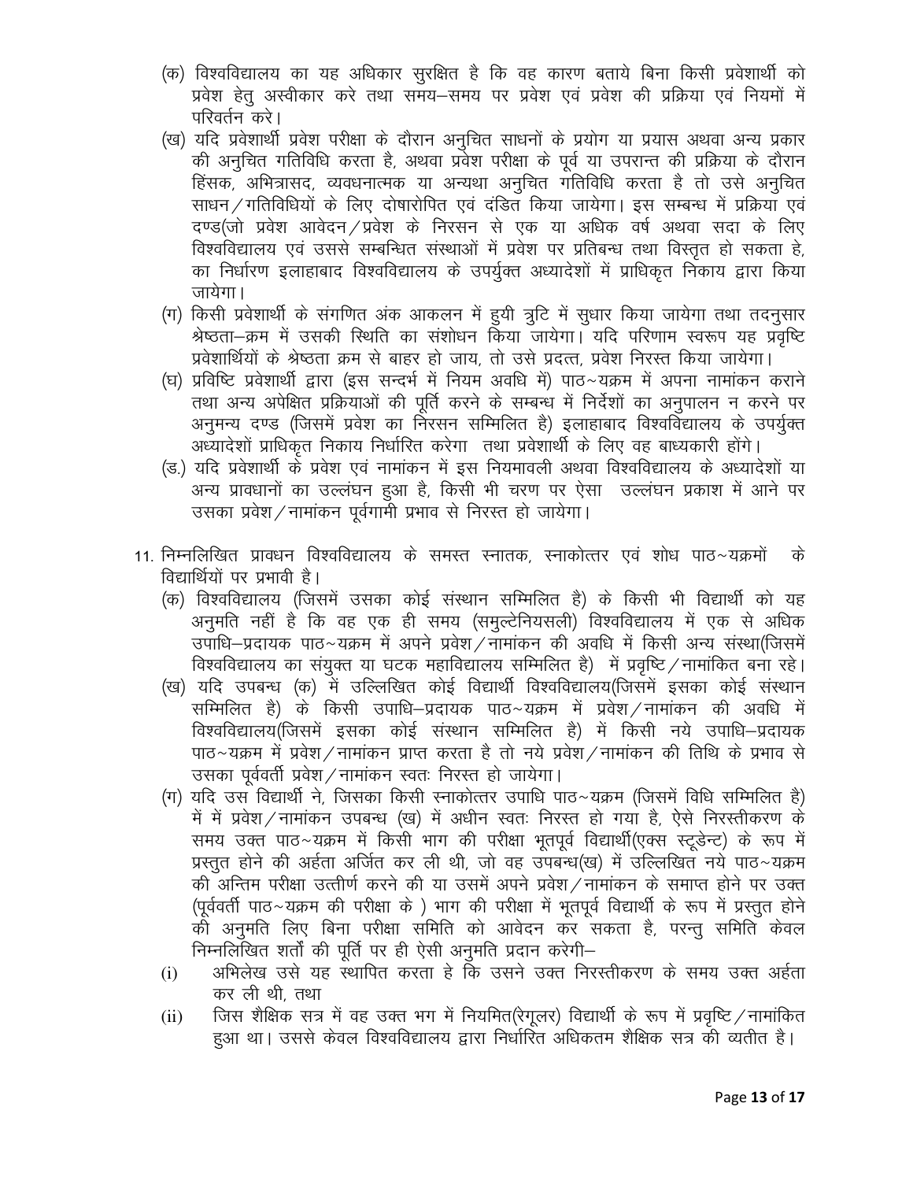- (क) विश्वविद्यालय का यह अधिकार सुरक्षित है कि वह कारण बताये बिना किसी प्रवेशार्थी को प्रवेश हेतु अस्वीकार करे तथा समय—समय पर प्रवेश एवं प्रवेश की प्रक्रिया एवं नियमों में परिवर्तन करे।
- (ख) यदि प्रवेशार्थी प्रवेश परीक्षा के दौरान अनुचित साधनों के प्रयोग या प्रयास अथवा अन्य प्रकार की अनुचित गतिविधि करता है, अथवा प्रवेश परीक्षा के पूर्व या उपरान्त की प्रक्रिया के दौरान हिंसक, अभित्रासद, व्यवधनात्मक या अन्यथा अनुचित गतिविधि करता है तो उसे अनुचित साधन / गतिविधियों के लिए दोषारोपित एवं दंडित किया जायेगा। इस सम्बन्ध में प्रक्रिया एवं दण्ड(जो प्रवेश आवेदन ⁄ प्रवेश के निरसन से एक या अधिक वर्ष अथवा सदा के लिए विश्वविद्यालय एवं उससे सम्बन्धित संस्थाओं में प्रवेश पर प्रतिबन्ध तथा विस्तुत हो सकता हे, का निर्धारण इलाहाबाद विश्वविद्यालय के उपर्युक्त अध्यादेशों में प्राधिकृत निकाय द्वारा किया जायेगा।
- (ग) किसी प्रवेशार्थी के संगणित अंक आकलन में ह्यी त्रूटि में सुधार किया जायेगा तथा तदनुसार श्रेष्ठता–क्रम में उसकी स्थिति का संशोधन किया जायेगा। यदि परिणाम स्वरूप यह प्रवृष्टि प्रवेशार्थियों के श्रेष्ठता क्रम से बाहर हो जाय, तो उसे प्रदत्त, प्रवेश निरस्त किया जायेगा।
- (घ) प्रविष्टि प्रवेशार्थी द्वारा (इस सन्दर्भ में नियम अवधि में) पाठ~यक्रम में अपना नामांकन कराने तथा अन्य अपेक्षित प्रक्रियाओं की पूर्ति करने के सम्बन्ध में निर्देशों का अनुपालन न करने पर अनुमन्य दण्ड (जिसमें प्रवेश का निरसन सम्मिलित है) इलाहाबाद विश्वविद्यालय के उपर्युक्त अध्यादेशों प्राधिकृत निकाय निर्धारित करेगा) तथा प्रवेशार्थी के लिए वह बाध्यकारी होंगे।
- (ड.) यदि प्रवेशार्थी के प्रवेश एवं नामांकन में इस नियमावली अथवा विश्वविद्यालय के अध्यादेशों या अन्य प्रावधानों का उल्लंघन हुआ है, किसी भी चरण पर ऐसा जल्लंघन प्रकाश में आने पर उसका प्रवेश / नामांकन पूर्वगामी प्रभाव से निरस्त हो जायेगा।
- 11. निम्नलिखित प्रावधन विश्वविद्यालय के समस्त स्नातक, स्नाकोत्तर एवं शोध पाठ~यक्रमों के विद्यार्थियों पर प्रभावी है।
	- (क) विश्वविद्यालय (जिसमें उसका कोई संस्थान सम्मिलित है) के किसी भी विद्यार्थी को यह अनुमति नहीं है कि वह एक ही समय (समुल्टेनियसली) विश्वविद्यालय में एक से अधिक उपाधि–प्रदायक पाठ~यक्रम में अपने प्रवेश ⁄ नामांकन की अवधि में किसी अन्य संस्था(जिसमें विश्वविद्यालय का संयुक्त या घटक महाविद्यालय सम्मिलित है) में प्रवृष्टि / नामांकित बना रहे।
	- (ख) यदि उपबन्ध (क) में उल्लिखित कोई विद्यार्थी विश्वविद्यालय(जिसमें इसका कोई संस्थान सम्मिलित है) के किसी उपाधि–प्रदायक पाठ~यक्रम में प्रवेश / नामांकन की अवधि में विश्वविद्यालय(जिसमें इसका कोई संस्थान सम्मिलित है) में किसी नये उपाधि–प्रदायक पाठ~यक्रम में प्रवेश ⁄ नामांकन प्राप्त करता है तो नये प्रवेश ⁄ नामांकन की तिथि के प्रभाव से उसका पूर्ववर्ती प्रवेश / नामांकन स्वतः निरस्त हो जायेगा।
	- (ग) यदि उस विद्यार्थी ने, जिसका किसी स्नाकोत्तर उपाधि पाठ~यक्रम (जिसमें विधि सम्मिलित है) में में प्रवेश ⁄ नामांकन उपबन्ध (ख) में अधीन स्वतः निरस्त हो गया है, ऐसे निरस्तीकरण के समय उक्त पाठ~यक्रम में किसी भाग की परीक्षा भुतपूर्व विद्यार्थी(एक्स स्टुडेन्ट) के रूप में प्रस्तुत होने की अर्हता अर्जित कर ली थी, जो वह उपबन्ध(ख) में उल्लिखित नये पाठ~यक्रम की अन्तिम परीक्षा उत्तीर्ण करने की या उसमें अपने प्रवेश ⁄ नामांकन के समाप्त होने पर उक्त (पूर्ववर्ती पाठ~यक्रम की परीक्षा के) भाग की परीक्षा में भूतपूर्व विद्यार्थी के रूप में प्रस्तुत होने को अनुमति लिए बिना परीक्षा समिति को आवेदन कर सकता है, परन्तु समिति केवल निम्नलिखित शर्तों की पूर्ति पर ही ऐसी अनुमति प्रदान करेगी–
	- अभिलेख उसे यह स्थापित करता हे कि उसने उक्त निरस्तीकरण के समय उक्त अर्हता  $(i)$ कर ली थी, तथा
	- जिस शैक्षिक सत्र में वह उक्त भग में नियमित(रेगूलर) विद्यार्थी के रूप में प्रवृष्टि / नामांकित  $(ii)$ हुआ था। उससे केवल विश्वविद्यालय द्वारा निर्धारित अधिकतम शैक्षिक सत्र की व्यतीत है।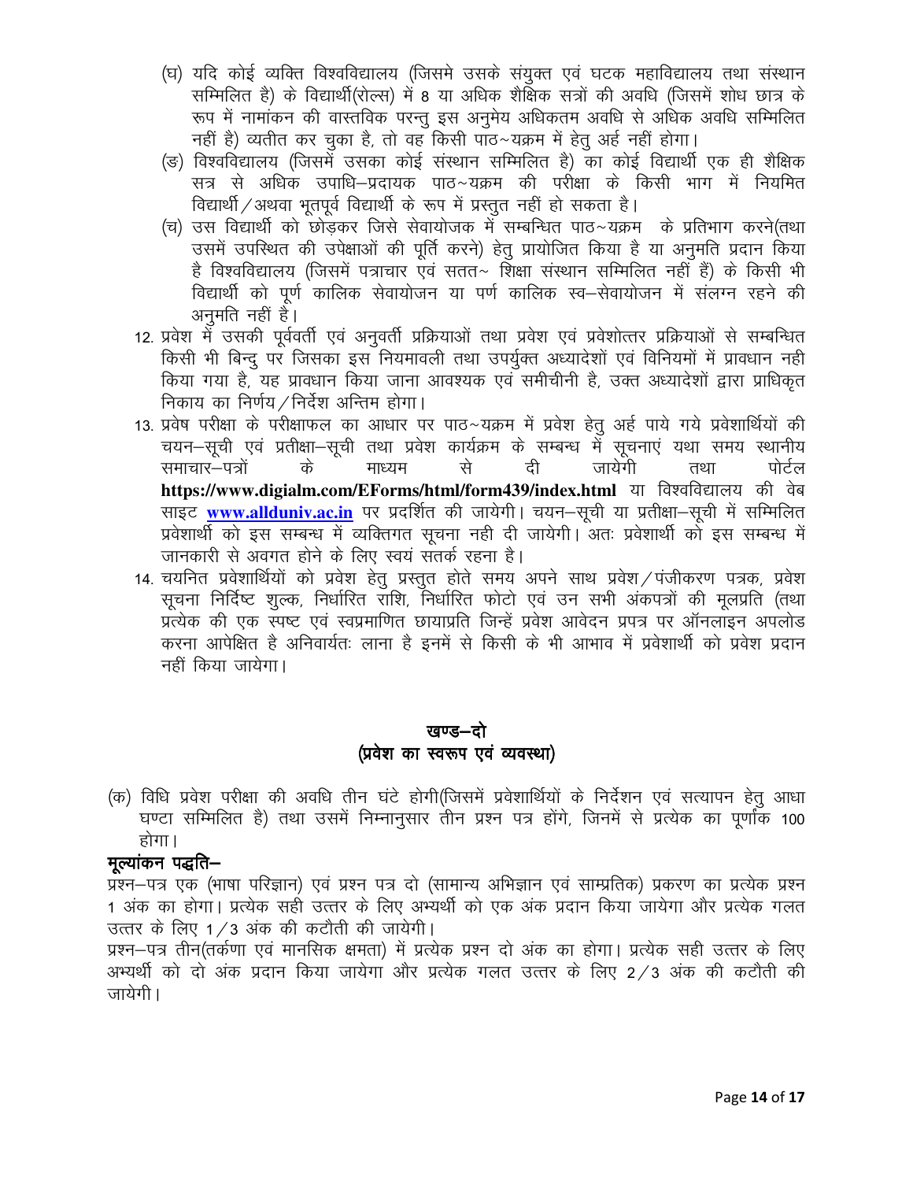- (घ) यदि कोई व्यक्ति विश्वविद्यालय (जिसमे उसके संयुक्त एवं घटक महाविद्यालय तथा संस्थान सम्मिलित है) के विद्यार्थी(रोल्स) में 8 या अधिक शैक्षिक सत्रों की अवधि (जिसमें शोध छात्र के रूप में नामांकन की वास्तविक परन्तू इस अनुमेय अधिकतम अवधि से अधिक अवधि सम्मिलित नहीं है) व्यतीत कर चुका है, तो वह किसी पाठ~यक्रम में हेतु अर्ह नहीं होगा।
- (ङ) विश्वविद्यालय (जिसमें उसका कोई संस्थान सम्मिलित है) का कोई विद्यार्थी एक ही शैक्षिक सत्र से अधिक उपाधि–प्रदायक पाठ~यक्रम की परीक्षा के किसी भाग में नियमित विद्यार्थी / अथवा भतपूर्व विद्यार्थी के रूप में प्रस्तुत नहीं हो सकता है।
- (च) उस विद्यार्थी को छोड़कर जिसे सेवायोजक में सम्बन्धित पाठ~यक्रम) के प्रतिभाग करने(तथा) उसमें उपस्थित की उपेक्षाओं की पूर्ति करने) हेतु प्रायोजित किया है या अनुमति प्रदान किया है विश्वविद्यालय (जिसमें पत्राचार एवं सतत~ शिक्षा संस्थान सम्मिलित नहीं हैं) के किसी भी विद्यार्थी को पूर्ण कालिक सेवायोजन या पर्ण कालिक स्व–सेवायोजन में संलग्न रहने की अनमति नहीं है।
- 12. प्रवेश में उसकी पूर्ववर्ती एवं अनुवर्ती प्रक्रियाओं तथा प्रवेश एवं प्रवेशोत्तर प्रक्रियाओं से सम्बन्धित किसी भी बिन्दु पर जिसका इस नियमावली तथा उपर्युक्त अध्यादेशों एवं विनियमों में प्रावधान नही किया गया है. यह प्रावधान किया जाना आवश्यक एवं समीचीनी है. उक्त अध्यादेशों द्वारा प्राधिकत निकाय का निर्णय / निर्देश अन्तिम होगा।
- 13. प्रवेष परीक्षा के परीक्षाफल का आधार पर पाठ~यक्रम में प्रवेश हेतू अर्ह पाये गये प्रवेशार्थियों की चयन–सूची एवं प्रतीक्षा–सूची तथा प्रवेश कार्यक्रम के सम्बन्ध में सूचनाएं यथा समय स्थानीय समाचार—पत्रों के माध्यम टी जायेगी से तथा पोर्टल https://www.digialm.com/EForms/html/form439/index.html या विश्वविद्यालय की वेब साइट www.allduniv.ac.in पर प्रदर्शित की जायेगी। चयन-सूची या प्रतीक्षा-सूची में सम्मिलित प्रवेशार्थी को इस सम्बन्ध में व्यक्तिगत सूचना नही दी जायेगी। अतः प्रवेशार्थी को इस सम्बन्ध में जानकारी से अवगत होने के लिए स्वयं सतर्क रहना है।
- 14. चयनित प्रवेशार्थियों को प्रवेश हेतु प्रस्तुत होते समय अपने साथ प्रवेश ⁄ पंजीकरण पत्रक, प्रवेश सूचना निर्दिष्ट शुल्क, निर्धारित राशि, निर्धारित फोटो एवं उन सभी अंकपत्रों की मुलप्रति (तथा प्रत्येक की एक स्पष्ट एवं स्वप्रमाणित छायाप्रति जिन्हें प्रवेश आवेदन प्रपत्र पर ऑनलाइन अपलोड करना आपेक्षित है अनिवार्यतः लाना है इनमें से किसी के भी आभाव में प्रवेशार्थी को प्रवेश प्रदान नहीं किया जायेगा।

# खण्ड—दो (प्रवेश का स्वरूप एवं व्यवस्था)

(क) विधि प्रवेश परीक्षा की अवधि तीन घंटे होगी(जिसमें प्रवेशार्थियों के निर्देशन एवं सत्यापन हेतू आधा घण्टा सम्मिलित है) तथा उसमें निम्नानुसार तीन प्रश्न पत्र होंगे, जिनमें से प्रत्येक का पूर्णांक 100 होगा।

# मल्यांकन पद्धति—

प्रश्न–पत्र एक (भाषा परिज्ञान) एवं प्रश्न पत्र दो (सामान्य अभिज्ञान एवं साम्प्रतिक) प्रकरण का प्रत्येक प्रश्न 1 अंक का होगा। प्रत्येक सही उत्तर के लिए अभ्यर्थी को एक अंक प्रदान किया जायेगा और प्रत्येक गलत उत्तर के लिए 1/3 अंक की कटौती की जायेगी।

प्रश्न–पत्र तीन(तर्कणा एवं मानसिक क्षमता) में प्रत्येक प्रश्न दो अंक का होगा। प्रत्येक सही उत्तर के लिए अभ्यर्थी को दो अंक प्रदान किया जायेगा और प्रत्येक गलत उत्तर के लिए 2/3 अंक की कटौती की जायेगी।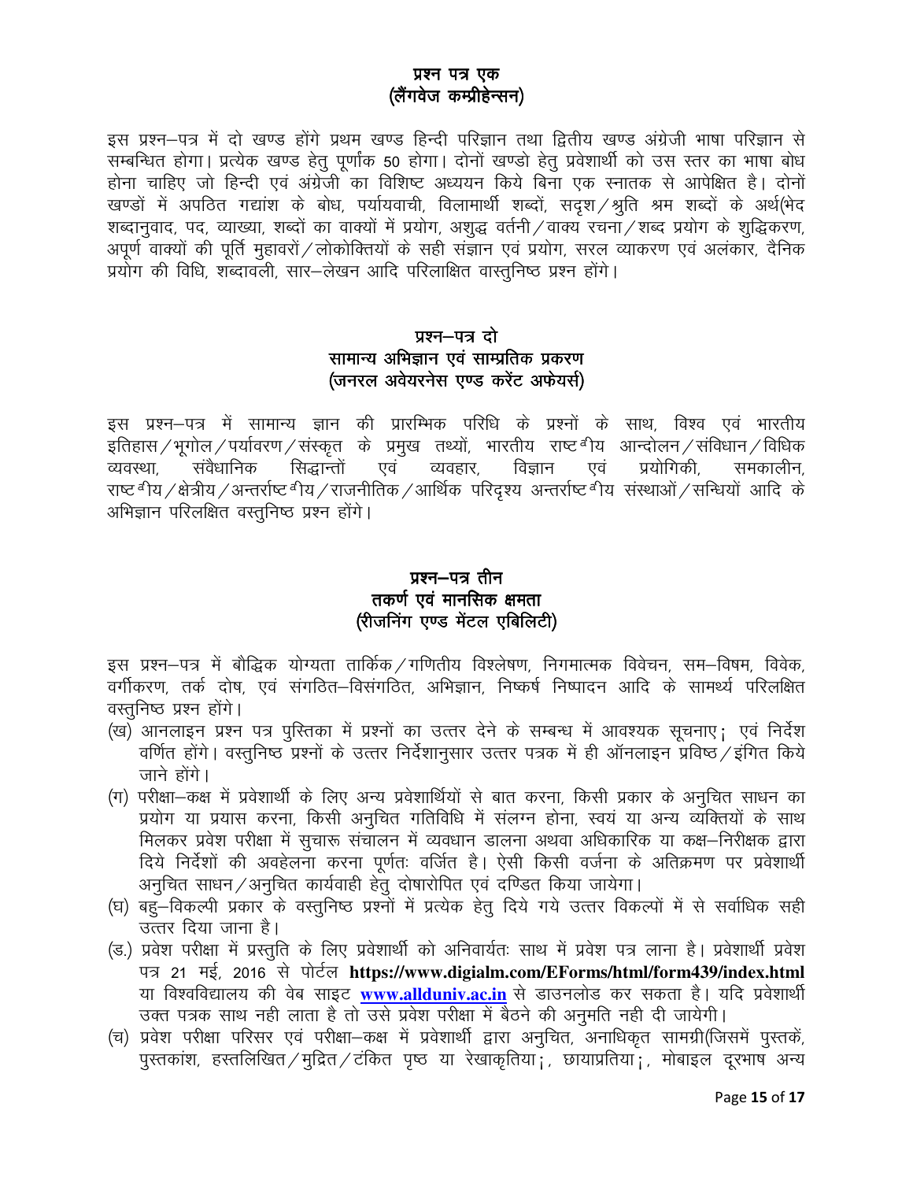## प्रश्न पत्र एक (लैंगवेज कम्प्रीहेन्सन)

इस प्रश्न–पत्र में दो खण्ड होंगे प्रथम खण्ड हिन्दी परिज्ञान तथा द्वितीय खण्ड अंग्रेजी भाषा परिज्ञान से सम्बन्धित होगा। प्रत्येक खण्ड हेतु पूर्णांक 50 होगा। दोनों खण्डो हेतु प्रवेशार्थी को उस स्तर का भाषा बोध होना चाहिए जो हिन्दी एवं अंग्रेजी का विशिष्ट अध्ययन किये बिना एक स्नातक से आपेक्षित है। दोनों खण्डों में अपठित गद्यांश के बोध, पर्यायवाची, विलामार्थी शब्दों, सदृश/श्रुति श्रम शब्दों के अर्थ(भेद शब्दानुवाद, पद, व्याख्या, शब्दों का वाक्यों में प्रयोग, अशुद्ध वर्तनी / वाक्य रचना / शब्द प्रयोग के शुद्धिकरण, अपूर्ण वाक्यों की पूर्ति मुहावरों / लोकोक्तियों के सही संज्ञान एवं प्रयोग, सरल व्याकरण एवं अलंकार, दैनिक प्रयोग की विधि, शब्दावली, सार-लेखन आदि परिलाक्षित वास्तुनिष्ठ प्रश्न होंगे।

# प्रश्न-पत्र दो सामान्य अभिज्ञान एवं साम्प्रतिक प्रकरण (जनरल अवेयरनेस एण्ड करेंट अफेयर्स)

इस प्रश्न–पत्र में सामान्य ज्ञान की प्रारम्भिक परिधि के प्रश्नों के साथ, विश्व एवं भारतीय इतिहास / भूगोल / पर्यावरण / संस्कृत के प्रमुख तथ्यों, भारतीय राष्ट<sup> ब</sup>ीय आन्दोलन / संविधान / विधिक संवैधानिक सिद्धान्तों एवं व्यवहार, विज्ञान प्रयोगिकी. व्यवस्था एवं समकालीन, राष्ट<sup>ब</sup>ीय /क्षेत्रीय /अन्तर्राष्ट<sup>ब</sup>ीय / राजनीतिक /आर्थिक परिदृश्य अन्तर्राष्ट<sup>ब</sup>ीय संस्थाओं /सन्धियों आदि के अभिज्ञान परिलक्षित वस्तनिष्ठ प्रश्न होंगे।

# प्रश्न–पत्र तीन तकर्ण एवं मानसिक क्षमता (रीजनिंग एण्ड मेंटल एबिलिटी)

इस प्रश्न–पत्र में बौद्धिक योग्यता तार्किक / गणितीय विश्लेषण, निगमात्मक विवेचन, सम–विषम, विवेक, वर्गीकरण, तर्क दोष, एवं संगठित–विसंगठित, अभिज्ञान, निष्कर्ष निष्पादन आदि के सामर्थ्य परिलक्षित वस्तुनिष्ठ प्रश्न होंगे।

- (ख) आनलाइन प्रश्न पत्र पुस्तिका में प्रश्नों का उत्तर देने के सम्बन्ध में आवश्यक सूचनाए; एवं निर्देश वर्णित होंगे। वस्तुनिष्ठ प्रश्नों के उत्तर निर्देशानुसार उत्तर पत्रक में ही ऑनलाइन प्रविष्ठ /इंगित किये जाने होंगे।
- (ग) परीक्षा–कक्ष में प्रवेशार्थी के लिए अन्य प्रवेशार्थियों से बात करना, किसी प्रकार के अनुचित साधन का प्रयोग या प्रयास करना, किसी अनुचित गतिविधि में संलग्न होना, स्वयं या अन्य व्यक्तियों के साथ मिलकर प्रवेश परीक्षा में सूचारू संचालन में व्यवधान डालना अथवा अधिकारिक या कक्ष–निरीक्षक द्वारा दिये निर्देशों की अवहेलना करना पूर्णतः वर्जित है। ऐसी किसी वर्जना के अतिक्रमण पर प्रवेशार्थी अनुचित साधन / अनुचित कार्यवाही हेतु दोषारोपित एवं दण्डित किया जायेगा।
- (घ) बहुँ—विकल्पी प्रकार के वस्तुनिष्ठ प्रश्नों में प्रत्येक हेतु दिये गये उत्तर विकल्पों में से सर्वाधिक सही उत्तर दिया जाना है।
- (ड.) प्रवेश परीक्षा में प्रस्तुति के लिए प्रवेशार्थी को अनिवार्यतः साथ में प्रवेश पत्र लाना है। प्रवेशार्थी प्रवेश पत्र 21 मई, 2016 से पोर्टल https://www.digialm.com/EForms/html/form439/index.html या विश्वविद्यालय की वेब साइट www.allduniv.ac.in से डाउनलोड कर सकता है। यदि प्रवेशार्थी उक्त पत्रक साथ नही लाता है तो उसे प्रवेश परीक्षा में बैठने की अनुमति नही दी जायेगी।
- (च) प्रवेश परीक्षा परिसर एवं परीक्षा–कक्ष में प्रवेशार्थी द्वारा अनुचित, अनाधिकृत सामग्री(जिसमें पुस्तकें, पुस्तकांश, हस्तलिखित / मुद्रित / टंकित पृष्ठ या रेखाकृतिया ; छायाप्रतिया ; मोबाइल दुरभाष अन्य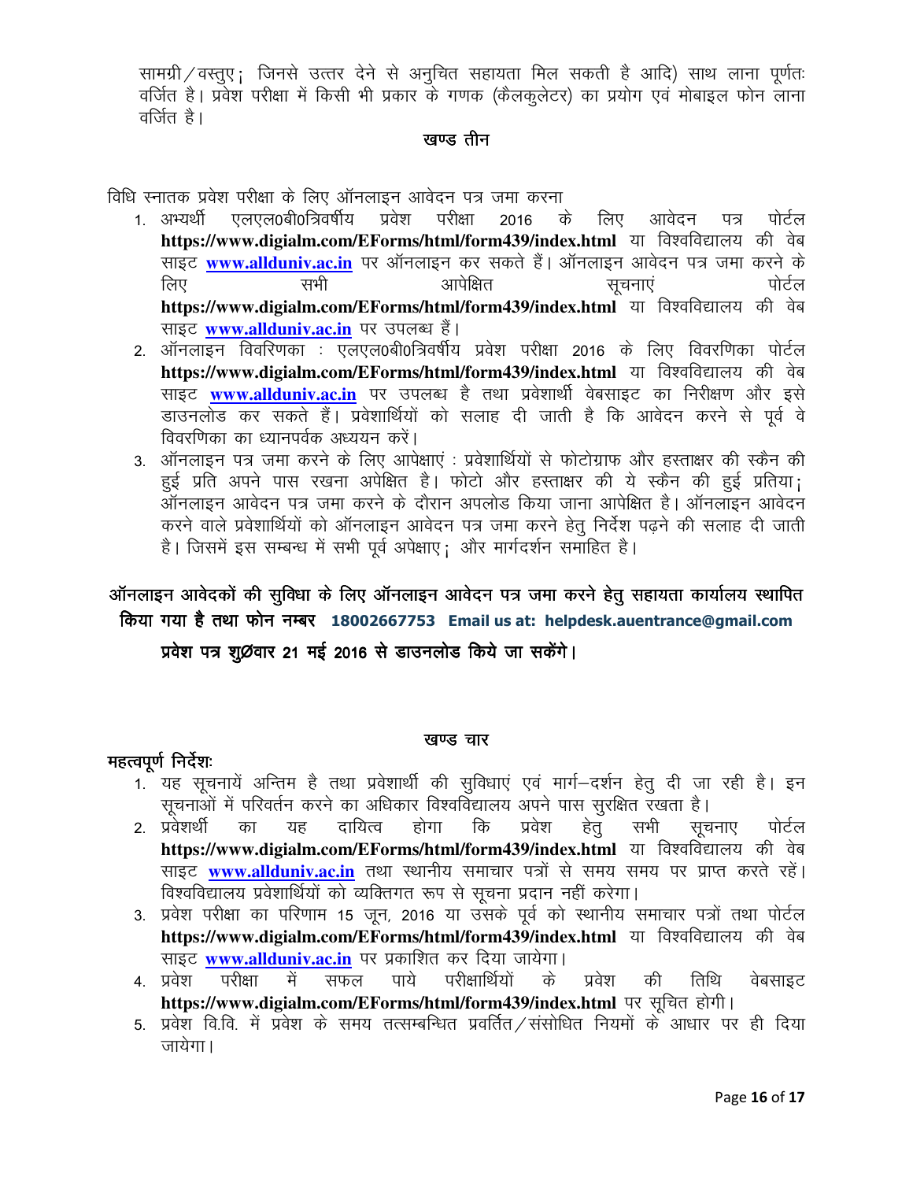सामग्री / वस्तुए; जिनसे उत्तर देने से अनुचित सहायता मिल सकती है आदि) साथ लाना पूर्णतः वर्जित है। प्रवेश परीक्षा में किसी भी प्रकार के गणक (कैलकुलेटर) का प्रयोग एवं मोबाइल फोन लाना वर्जित है।

### खण्ड तीन

विधि स्नातक प्रवेश परीक्षा के लिए ऑनलाइन आवेदन पत्र जमा करना

- एलएल0बी0त्रिवर्षीय प्रवेश परीक्षा 1 अभ्यर्थी 2016 के लिए आवेदन ਧਕ पोर्टल https://www.digialm.com/EForms/html/form439/index.html या विश्वविद्यालय की वेब साइट www.allduniv.ac.in पर ऑनलाइन कर सकते हैं। ऑनलाइन आवेदन पत्र जमा करने के सभी आपेक्षित पोर्टल लिए सुचनाएं https://www.digialm.com/EForms/html/form439/index.html या विश्वविद्यालय की वेब साइट www.allduniv.ac.in पर उपलब्ध हैं।
- 2. ऑनलाइन विवरिणका : एलएल0बी0त्रिवर्षीय प्रवेश परीक्षा 2016 के लिए विवरणिका पोर्टल https://www.digialm.com/EForms/html/form439/index.html या विश्वविद्यालय की वेब साइट www.allduniv.ac.in पर उपलब्ध है तथा प्रवेशार्थी वेबसाइट का निरीक्षण और इसे डाउनलोड कर सकते हैं। प्रवेशार्थियों को सलाह दी जाती है कि आवेदन करने से पूर्व वे विवरणिका का ध्यानपर्वक अध्ययन करें।
- 3. ऑनलाइन पत्र जमा करने के लिए आपेक्षाएं : प्रवेशार्थियों से फोटोग्राफ और हस्ताक्षर की स्कैन की हुई प्रति अपने पास रखना अपेक्षित है। फोटो और हस्ताक्षर की ये स्कैन की हुई प्रतिया; ऑनलाइन आवेदन पत्र जमा करने के दौरान अपलोड किया जाना आपेक्षित है। ऑनलाइन आवेदन करने वाले प्रवेशार्थियों को ऑनलाइन आवेदन पत्र जमा करने हेतु निर्देश पढने की सलाह दी जाती है। जिसमें इस सम्बन्ध में सभी पूर्व अपेक्षाए; और मार्गदर्शन समाहित है।

# ऑनलाइन आवेदकों की सुविधा के लिए ऑनलाइन आवेदन पत्र जमा करने हेतू सहायता कार्यालय स्थापित किया गया है तथा फोन नम्बर 18002667753 Email us at: helpdesk.auentrance@gmail.com

प्रवेश पत्र शुØवार 21 मई 2016 से डाउनलोड किये जा सकेंगे।

### खण्ड चार

### महत्वपूर्ण निर्देशः

- 1. यह सूचनायें अन्तिम है तथा प्रवेशार्थी की सुविधाएं एवं मार्ग-दर्शन हेतु दी जा रही है। इन सुचनाओं में परिवर्तन करने का अधिकार विश्वविद्यालय अपने पास सुरक्षित रखता है।
- 2. प्रवेशर्थी दायित्व होगा कि सभी का यह प्रवेश हेत सचनाए पोर्टल https://www.digialm.com/EForms/html/form439/index.html या विश्वविद्यालय की वेब साइट www.allduniv.ac.in तथा स्थानीय समाचार पत्रों से समय समय पर प्राप्त करते रहें। विश्वविद्यालय प्रवेशार्थियों को व्यक्तिगत रूप से सूचना प्रदान नहीं करेगा।
- 3. प्रवेश परीक्षा का परिणाम 15 जून, 2016 या उसके पूर्व को स्थानीय समाचार पत्रों तथा पोर्टल https://www.digialm.com/EForms/html/form439/index.html या विश्वविद्यालय की वेब साइट www.allduniv.ac.in पर प्रकाशित कर दिया जायेगा।
- परीक्षा 4. प्रवेश में सफल पाये परीक्षार्थियों के प्रवेश तिथि की वेबसाइट https://www.digialm.com/EForms/html/form439/index.html पर सूचित होगी।
- 5. प्रवेश वि.वि. में प्रवेश के समय तत्सम्बन्धित प्रवर्तित ⁄संसोधित नियमों के आधार पर ही दिया जायेगा।